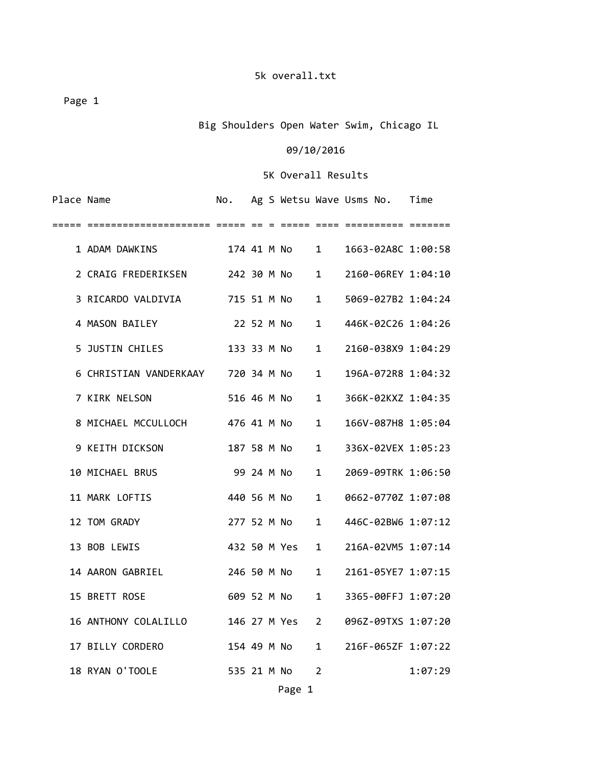Big Shoulders Open Water Swim, Chicago IL

### 09/10/2016

| Place Name          | No. |  |                                                                                      |                                                                                                                                                                                                                            |                                                                                                                       |
|---------------------|-----|--|--------------------------------------------------------------------------------------|----------------------------------------------------------------------------------------------------------------------------------------------------------------------------------------------------------------------------|-----------------------------------------------------------------------------------------------------------------------|
|                     |     |  |                                                                                      |                                                                                                                                                                                                                            |                                                                                                                       |
| 1 ADAM DAWKINS      |     |  |                                                                                      | 1663-02A8C 1:00:58                                                                                                                                                                                                         |                                                                                                                       |
|                     |     |  |                                                                                      |                                                                                                                                                                                                                            |                                                                                                                       |
| 3 RICARDO VALDIVIA  |     |  | 1                                                                                    |                                                                                                                                                                                                                            |                                                                                                                       |
| 4 MASON BAILEY      |     |  | $\mathbf{1}$                                                                         |                                                                                                                                                                                                                            |                                                                                                                       |
| 5 JUSTIN CHILES     |     |  | $\mathbf{1}$                                                                         | 2160-038X9 1:04:29                                                                                                                                                                                                         |                                                                                                                       |
|                     |     |  |                                                                                      | 196A-072R8 1:04:32                                                                                                                                                                                                         |                                                                                                                       |
| 7 KIRK NELSON       |     |  | $\mathbf{1}$                                                                         | 366K-02KXZ 1:04:35                                                                                                                                                                                                         |                                                                                                                       |
| 8 MICHAEL MCCULLOCH |     |  | $\mathbf{1}$                                                                         | 166V-087H8 1:05:04                                                                                                                                                                                                         |                                                                                                                       |
| 9 KEITH DICKSON     |     |  | $\mathbf{1}$                                                                         | 336X-02VEX 1:05:23                                                                                                                                                                                                         |                                                                                                                       |
| 10 MICHAEL BRUS     |     |  | $\mathbf{1}$                                                                         | 2069-09TRK 1:06:50                                                                                                                                                                                                         |                                                                                                                       |
| 11 MARK LOFTIS      |     |  | $\mathbf{1}$                                                                         | 0662-0770Z 1:07:08                                                                                                                                                                                                         |                                                                                                                       |
| 12 TOM GRADY        |     |  | 1                                                                                    |                                                                                                                                                                                                                            |                                                                                                                       |
| 13 BOB LEWIS        |     |  | $\mathbf{1}$                                                                         | 216A-02VM5 1:07:14                                                                                                                                                                                                         |                                                                                                                       |
| 14 AARON GABRIEL    |     |  | 1                                                                                    | 2161-05YE7 1:07:15                                                                                                                                                                                                         |                                                                                                                       |
| 15 BRETT ROSE       |     |  | 1                                                                                    | 3365-00FFJ 1:07:20                                                                                                                                                                                                         |                                                                                                                       |
|                     |     |  |                                                                                      | 096Z-09TXS 1:07:20                                                                                                                                                                                                         |                                                                                                                       |
| 17 BILLY CORDERO    |     |  | 1                                                                                    | 216F-065ZF 1:07:22                                                                                                                                                                                                         |                                                                                                                       |
| 18 RYAN O'TOOLE     |     |  | 2                                                                                    |                                                                                                                                                                                                                            | 1:07:29                                                                                                               |
|                     |     |  | 22 52 M No<br>476 41 M No<br>187 58 M No<br>99 24 M No<br>440 56 M No<br>535 21 M No | 2 CRAIG FREDERIKSEN 242 30 M No 1<br>715 51 M No<br>133 33 M No<br>6 CHRISTIAN VANDERKAAY 720 34 M No 1<br>516 46 M No<br>277 52 M No<br>432 50 M Yes<br>246 50 M No<br>609 52 M No<br>16 ANTHONY COLALILLO 146 27 M Yes 2 | Ag S Wetsu Wave Usms No. Time<br>2160-06REY 1:04:10<br>5069-027B2 1:04:24<br>446K-02C26 1:04:26<br>446C-02BW6 1:07:12 |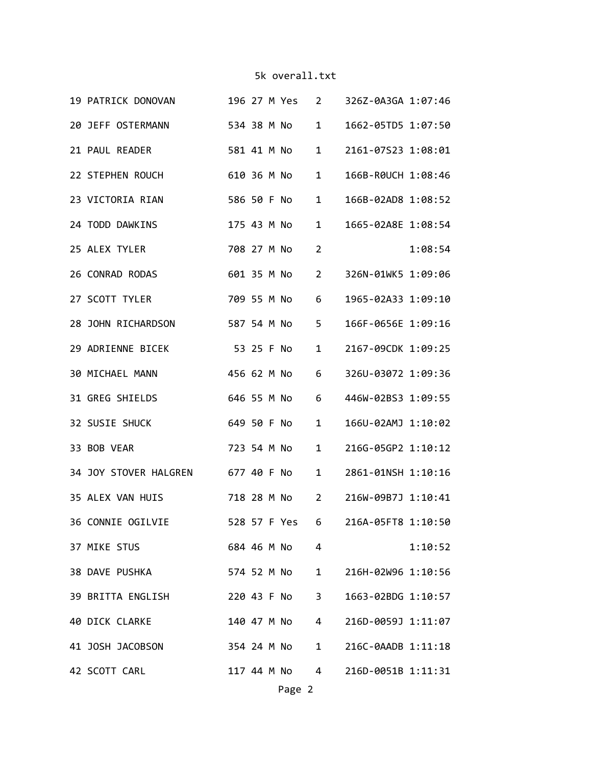| 19 PATRICK DONOVAN                |             |  |             |                        | 196 27 M Yes 2 326Z-0A3GA 1:07:46 |         |
|-----------------------------------|-------------|--|-------------|------------------------|-----------------------------------|---------|
| 20 JEFF OSTERMANN<br>534 38 M No  |             |  |             | $1 \quad$              | 1662-05TD5 1:07:50                |         |
| 21 PAUL READER                    | 581 41 M No |  |             | $\mathbf{1}$           | 2161-07523 1:08:01                |         |
| 22 STEPHEN ROUCH                  | 610 36 M No |  |             | $\mathbf{1}$           | 166B-R0UCH 1:08:46                |         |
| 23 VICTORIA RIAN                  | 586 50 F No |  |             | $\mathbf{1}$           | 166B-02AD8 1:08:52                |         |
| 24 TODD DAWKINS                   |             |  |             | $\mathbf{1}$           | 1665-02A8E 1:08:54                |         |
| 25 ALEX TYLER                     |             |  | 708 27 M No | $\overline{2}$         |                                   | 1:08:54 |
| 26 CONRAD RODAS                   |             |  | 601 35 M No | $2^{\circ}$            | 326N-01WK5 1:09:06                |         |
| 27 SCOTT TYLER                    |             |  | 709 55 M No | 6                      | 1965-02A33 1:09:10                |         |
| 28 JOHN RICHARDSON                | 587 54 M No |  |             | $5 -$                  | 166F-0656E 1:09:16                |         |
| 29 ADRIENNE BICEK<br>53 25 F No   |             |  |             | $\mathbf{1}$           | 2167-09CDK 1:09:25                |         |
| 30 MICHAEL MANN                   | 456 62 M No |  |             | 6                      | 326U-03072 1:09:36                |         |
| 31 GREG SHIELDS                   |             |  | 646 55 M No | 6                      | 446W-02BS3 1:09:55                |         |
| 32 SUSIE SHUCK<br>649 50 F No     |             |  |             | $\mathbf{1}$           | 166U-02AMJ 1:10:02                |         |
| 33 BOB VEAR                       |             |  | 723 54 M No | $\mathbf{1}$           | 216G-05GP2 1:10:12                |         |
| 34 JOY STOVER HALGREN 677 40 F No |             |  |             | $\mathbf{1}$           | 2861-01NSH 1:10:16                |         |
| 35 ALEX VAN HUIS                  |             |  | 718 28 M No | $2^{\circ}$            | 216W-09B7J 1:10:41                |         |
| 36 CONNIE OGILVIE                 |             |  |             |                        | 528 57 F Yes 6 216A-05FT8 1:10:50 |         |
| 37 MIKE STUS                      |             |  | 684 46 M No | $\overline{4}$         |                                   | 1:10:52 |
| 38 DAVE PUSHKA                    |             |  | 574 52 M No | $1 \quad \blacksquare$ | 216H-02W96 1:10:56                |         |
| 39 BRITTA ENGLISH                 |             |  | 220 43 F No | 3 <sup>7</sup>         | 1663-02BDG 1:10:57                |         |
| <b>40 DICK CLARKE</b>             |             |  | 140 47 M No |                        | 4 216D-0059J 1:11:07              |         |
| 41 JOSH JACOBSON                  |             |  |             |                        | 354 24 M No 1 216C-0AADB 1:11:18  |         |
| 42 SCOTT CARL                     |             |  | 117 44 M No |                        | 4 216D-0051B 1:11:31              |         |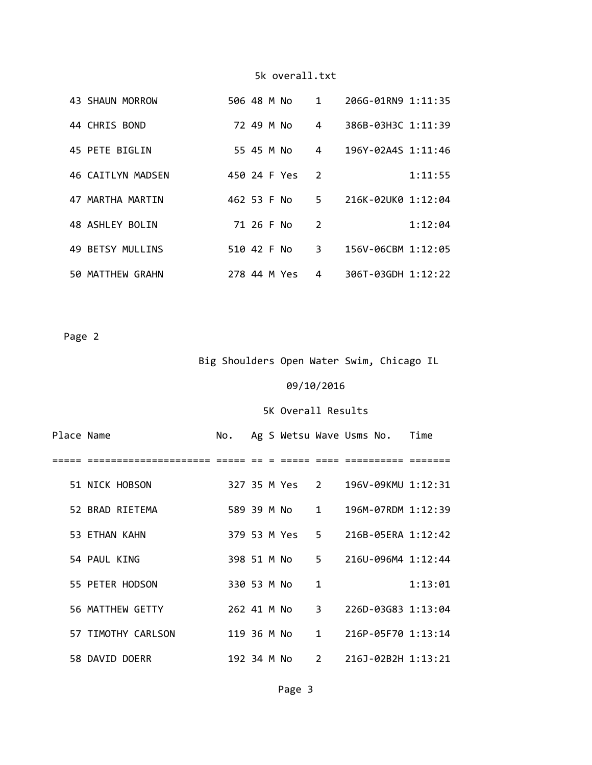|  | 43 SHAUN MORROW   | 506 48 M No  |            |  | 1              | 206G-01RN9 1:11:35   |         |
|--|-------------------|--------------|------------|--|----------------|----------------------|---------|
|  | 44 CHRIS BOND     |              | 72 49 M No |  | $\overline{4}$ | 386B-03H3C 1:11:39   |         |
|  | 45 PETE BIGLIN    |              | 55 45 M No |  | $\overline{4}$ | 196Y-02A4S 1:11:46   |         |
|  | 46 CAITLYN MADSEN | 450 24 F Yes |            |  | $\mathcal{P}$  |                      | 1:11:55 |
|  | 47 MARTHA MARTIN  | 462 53 F No  |            |  |                | 5 216K-02UK0 1:12:04 |         |
|  | 48 ASHLEY BOLIN   |              | 71 26 F No |  | 2              |                      | 1:12:04 |
|  | 49 BETSY MULLINS  | 510 42 F No  |            |  | 3              | 156V-06CBM 1:12:05   |         |
|  | 50 MATTHEW GRAHN  | 278 44 M Yes |            |  | 4              | 306T-03GDH 1:12:22   |         |

Page 2

Big Shoulders Open Water Swim, Chicago IL

# 09/10/2016

| Place Name |                    | No.         |  |              | Ag S Wetsu Wave Usms No. Time     |         |
|------------|--------------------|-------------|--|--------------|-----------------------------------|---------|
|            |                    |             |  |              |                                   |         |
|            | 51 NICK HOBSON     |             |  |              | 327 35 M Yes 2 196V-09KMU 1:12:31 |         |
|            | 52 BRAD RIFTEMA    |             |  |              | 589 39 M No 1 196M-07RDM 1:12:39  |         |
|            | 53 ETHAN KAHN      |             |  |              | 379 53 M Yes 5 216B-05ERA 1:12:42 |         |
|            | 54 PAUL KING       |             |  |              | 398 51 M No 5 216U-096M4 1:12:44  |         |
|            | 55 PETER HODSON    | 330 53 M No |  | $\mathbf{1}$ |                                   | 1:13:01 |
|            | 56 MATTHEW GETTY   | 262 41 M No |  |              | 3 226D-03G83 1:13:04              |         |
|            | 57 TIMOTHY CARLSON | 119 36 M No |  |              | 1 216P-05F70 1:13:14              |         |
|            | 58 DAVID DOERR     | 192 34 M No |  |              | 2 216J-02B2H 1:13:21              |         |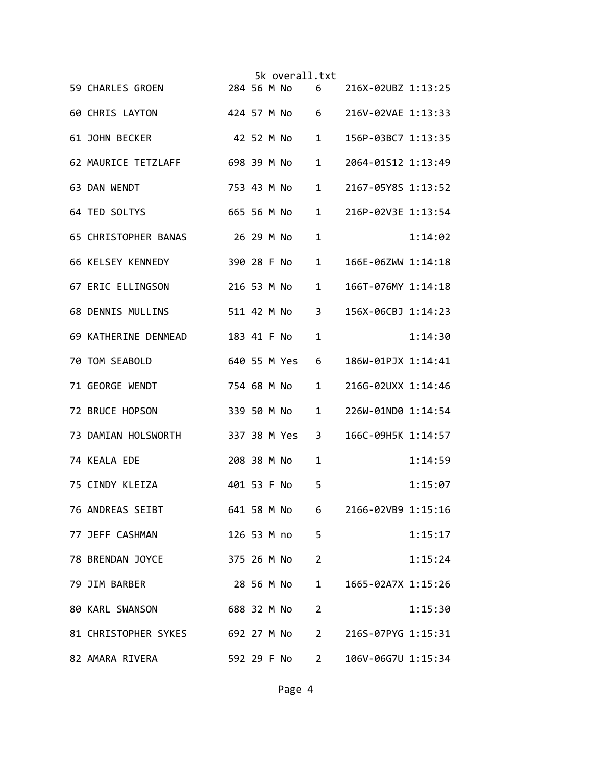|                                  |              |  | 5k overall.txt |                |                    |         |
|----------------------------------|--------------|--|----------------|----------------|--------------------|---------|
| 59 CHARLES GROEN                 | 284 56 M No  |  |                | 6              | 216X-02UBZ 1:13:25 |         |
| 60 CHRIS LAYTON                  |              |  | 424 57 M No 6  |                | 216V-02VAE 1:13:33 |         |
| 61 JOHN BECKER                   | 42 52 M No   |  |                | $\mathbf{1}$   | 156P-03BC7 1:13:35 |         |
| 62 MAURICE TETZLAFF              | 698 39 M No  |  |                | 1              | 2064-01S12 1:13:49 |         |
| 63 DAN WENDT                     | 753 43 M No  |  |                | $\mathbf{1}$   | 2167-05Y8S 1:13:52 |         |
| 64 TED SOLTYS                    | 665 56 M No  |  |                | $\mathbf{1}$   | 216P-02V3E 1:13:54 |         |
| 65 CHRISTOPHER BANAS             | 26 29 M No   |  |                | $\mathbf{1}$   |                    | 1:14:02 |
| 66 KELSEY KENNEDY                | 390 28 F No  |  |                | $\mathbf{1}$   | 166E-06ZWW 1:14:18 |         |
| 67 ERIC ELLINGSON                | 216 53 M No  |  |                | $\mathbf{1}$   | 166T-076MY 1:14:18 |         |
| 68 DENNIS MULLINS                | 511 42 M No  |  |                | $\overline{3}$ | 156X-06CBJ 1:14:23 |         |
| 69 KATHERINE DENMEAD             | 183 41 F No  |  |                | $\mathbf{1}$   |                    | 1:14:30 |
| 70 TOM SEABOLD                   | 640 55 M Yes |  |                | 6              | 186W-01PJX 1:14:41 |         |
| 71 GEORGE WENDT                  | 754 68 M No  |  |                | $\mathbf{1}$   | 216G-02UXX 1:14:46 |         |
| 72 BRUCE HOPSON                  | 339 50 M No  |  |                | $\mathbf{1}$   | 226W-01ND0 1:14:54 |         |
| 73 DAMIAN HOLSWORTH              | 337 38 M Yes |  |                | 3              | 166C-09H5K 1:14:57 |         |
| 74 KEALA EDE                     | 208 38 M No  |  |                | 1              |                    | 1:14:59 |
| 75 CINDY KLEIZA                  | 401 53 F No  |  |                | 5              |                    | 1:15:07 |
| 76 ANDREAS SEIBT                 |              |  | 641 58 M No    | $6 \quad$      | 2166-02VB9 1:15:16 |         |
| 77 JEFF CASHMAN                  |              |  | 126 53 M no    | 5              |                    | 1:15:17 |
| 78 BRENDAN JOYCE                 |              |  | 375 26 M No    | $\overline{2}$ |                    | 1:15:24 |
| 79 JIM BARBER                    |              |  | 28 56 M No     | $\mathbf{1}$   | 1665-02A7X 1:15:26 |         |
| 80 KARL SWANSON                  | 688 32 M No  |  |                | $\overline{2}$ |                    | 1:15:30 |
| 81 CHRISTOPHER SYKES 692 27 M No |              |  |                | $2^{\circ}$    | 216S-07PYG 1:15:31 |         |
| 82 AMARA RIVERA                  |              |  | 592 29 F No    | $2^{\circ}$    | 106V-06G7U 1:15:34 |         |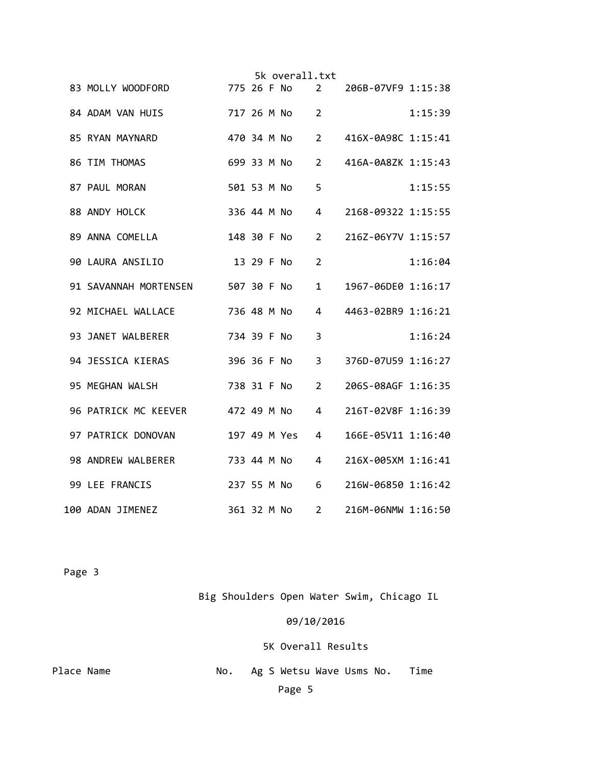|                                     |             |            | 5k overall.txt |                |                    |         |
|-------------------------------------|-------------|------------|----------------|----------------|--------------------|---------|
| 83 MOLLY WOODFORD                   | 775 26 F No |            |                | 2              | 206B-07VF9 1:15:38 |         |
| 84 ADAM VAN HUIS                    |             |            | 717 26 M No    | $\overline{2}$ |                    | 1:15:39 |
| 85 RYAN MAYNARD                     |             |            | 470 34 M No    | $2^{\circ}$    | 416X-0A98C 1:15:41 |         |
| 86 TIM THOMAS                       | 699 33 M No |            |                | $\overline{2}$ | 416A-0A8ZK 1:15:43 |         |
| 87 PAUL MORAN                       | 501 53 M No |            |                | 5              |                    | 1:15:55 |
| 88 ANDY HOLCK                       | 336 44 M No |            |                | 4              | 2168-09322 1:15:55 |         |
| 89 ANNA COMELLA                     | 148 30 F No |            |                | $\overline{2}$ | 216Z-06Y7V 1:15:57 |         |
| 90 LAURA ANSILIO                    |             | 13 29 F No |                | 2              |                    | 1:16:04 |
| 91 SAVANNAH MORTENSEN 507 30 F No   |             |            |                | $\mathbf{1}$   | 1967-06DE0 1:16:17 |         |
| 92 MICHAEL WALLACE                  | 736 48 M No |            |                | 4              | 4463-02BR9 1:16:21 |         |
| 93 JANET WALBERER                   | 734 39 F No |            |                | 3              |                    | 1:16:24 |
| 94 JESSICA KIERAS                   | 396 36 F No |            |                | $\overline{3}$ | 376D-07U59 1:16:27 |         |
| 95 MEGHAN WALSH                     | 738 31 F No |            |                | 2              | 206S-08AGF 1:16:35 |         |
| 96 PATRICK MC KEEVER<br>472 49 M No |             |            |                | 4              | 216T-02V8F 1:16:39 |         |
| 97 PATRICK DONOVAN                  |             |            | 197 49 M Yes   | 4              | 166E-05V11 1:16:40 |         |
| 98 ANDREW WALBERER                  | 733 44 M No |            |                | 4              | 216X-005XM 1:16:41 |         |
| 99 LEE FRANCIS                      | 237 55 M No |            |                | 6              | 216W-06850 1:16:42 |         |
| 100 ADAN JIMENEZ                    | 361 32 M No |            |                | $2^{\circ}$    | 216M-06NMW 1:16:50 |         |

Big Shoulders Open Water Swim, Chicago IL

09/10/2016

| Place Name |  | No. Ag S Wetsu Wave Usms No. |  | Time |  |
|------------|--|------------------------------|--|------|--|
|            |  | Page 5                       |  |      |  |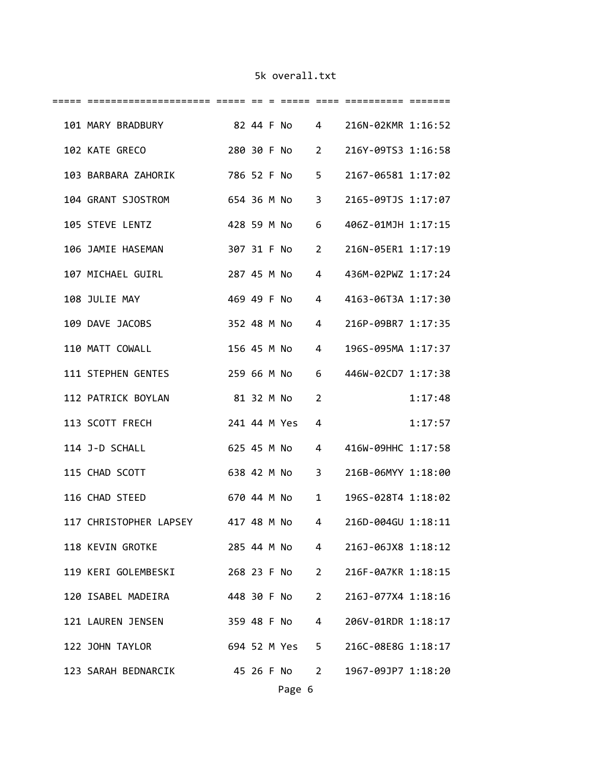| 101 MARY BRADBURY 82 44 F No 4 216N-02KMR 1:16:52       |               |  |             |             |                                   |         |
|---------------------------------------------------------|---------------|--|-------------|-------------|-----------------------------------|---------|
| 102 KATE GRECO                                          |               |  |             |             | 280 30 F No 2 216Y-09TS3 1:16:58  |         |
| 103 BARBARA ZAHORIK 786 52 F No 5                       |               |  |             |             | 2167-06581 1:17:02                |         |
| 104 GRANT SJOSTROM                                      | 654 36 M No 3 |  |             |             | 2165-09TJS 1:17:07                |         |
| 105 STEVE LENTZ                                         |               |  | 428 59 M No | 6           | 406Z-01MJH 1:17:15                |         |
| 106 JAMIE HASEMAN                                       |               |  | 307 31 F No | $2^{\circ}$ | 216N-05ER1 1:17:19                |         |
| 107 MICHAEL GUIRL                                       |               |  | 287 45 M No | $4 \quad$   | 436M-02PWZ 1:17:24                |         |
| 108 JULIE MAY                                           | 469 49 F No   |  |             | $4 \quad$   | 4163-06T3A 1:17:30                |         |
| 109 DAVE JACOBS                                         |               |  |             |             | 352 48 M No 4 216P-09BR7 1:17:35  |         |
| 110 MATT COWALL                                         |               |  |             |             | 156 45 M No 4 196S-095MA 1:17:37  |         |
| 111 STEPHEN GENTES                                      |               |  |             |             | 259 66 M No 6 446W-02CD7 1:17:38  |         |
| 112 PATRICK BOYLAN                                      |               |  | 81 32 M No  | 2           |                                   | 1:17:48 |
| 241 44 M Yes<br>113 SCOTT FRECH                         |               |  |             | 4           |                                   | 1:17:57 |
| 114 J-D SCHALL                                          |               |  | 625 45 M No |             | 4 416W-09HHC 1:17:58              |         |
| 115 CHAD SCOTT                                          | 638 42 M No   |  |             |             | 3 216B-06MYY 1:18:00              |         |
| 116 CHAD STEED                                          | 670 44 M No 1 |  |             |             | 196S-028T4 1:18:02                |         |
| 117 CHRISTOPHER LAPSEY 417 48 M No 4 216D-004GU 1:18:11 |               |  |             |             |                                   |         |
| 118 KEVIN GROTKE                                        |               |  |             |             | 285 44 M No 4 216J-06JX8 1:18:12  |         |
| 119 KERI GOLEMBESKI 268 23 F No 2 216F-0A7KR 1:18:15    |               |  |             |             |                                   |         |
| 120 ISABEL MADEIRA 448 30 F No 2 216J-077X4 1:18:16     |               |  |             |             |                                   |         |
| 121 LAUREN JENSEN 359 48 F No 4 206V-01RDR 1:18:17      |               |  |             |             |                                   |         |
| 122 JOHN TAYLOR                                         |               |  |             |             | 694 52 M Yes 5 216C-08E8G 1:18:17 |         |
| 123 SARAH BEDNARCIK 45 26 F No 2 1967-09JP7 1:18:20     |               |  |             |             |                                   |         |
|                                                         |               |  |             |             |                                   |         |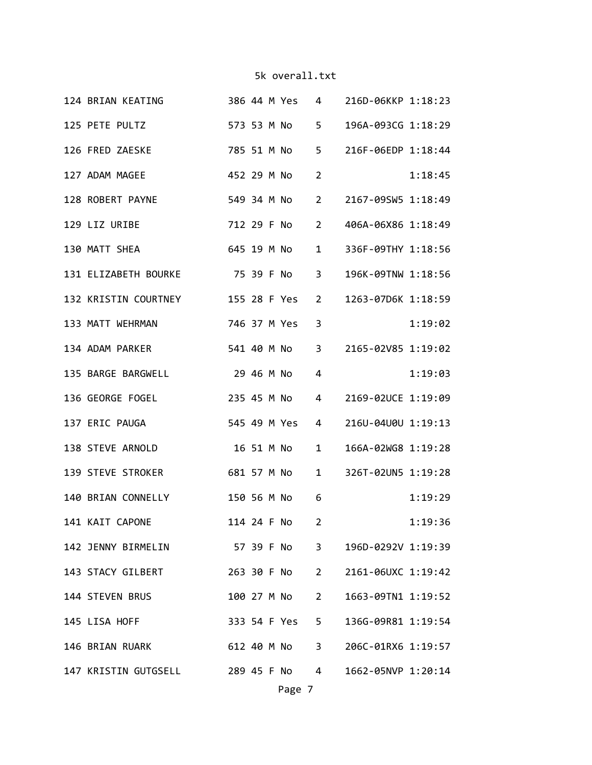| 124 BRIAN KEATING 386 44 M Yes 4 216D-06KKP 1:18:23   |             |  |                |                        |                                  |         |
|-------------------------------------------------------|-------------|--|----------------|------------------------|----------------------------------|---------|
| 125 PETE PULTZ 573 53 M No                            |             |  |                | $5^{\circ}$            | 196A-093CG 1:18:29               |         |
| 126 FRED ZAESKE                                       |             |  | 785 51 M No    | $5 -$                  | 216F-06EDP 1:18:44               |         |
| 127 ADAM MAGEE                                        | 452 29 M No |  |                | $2^{\circ}$            |                                  | 1:18:45 |
| 549 34 M No<br>128 ROBERT PAYNE                       |             |  |                | $2^{\sim}$             | 2167-09SW5 1:18:49               |         |
| 712 29 F No<br>129 LIZ URIBE                          |             |  |                | $2^{\circ}$            | 406A-06X86 1:18:49               |         |
| 645 19 M No<br>130 MATT SHEA                          |             |  |                | $1 \quad \blacksquare$ | 336F-09THY 1:18:56               |         |
| 131 ELIZABETH BOURKE 75 39 F No 3                     |             |  |                |                        | 196K-09TNW 1:18:56               |         |
| 132 KRISTIN COURTNEY 155 28 F Yes                     |             |  |                | $\overline{2}$         | 1263-07D6K 1:18:59               |         |
| 133 MATT WEHRMAN                                      |             |  | 746 37 M Yes   | 3                      |                                  | 1:19:02 |
| 134 ADAM PARKER 541 40 M No                           |             |  |                |                        | 3 2165-02V85 1:19:02             |         |
| 135 BARGE BARGWELL 29 46 M No                         |             |  |                | 4                      |                                  | 1:19:03 |
| 136 GEORGE FOGEL 235 45 M No                          |             |  |                | $4 \quad$              | 2169-02UCE 1:19:09               |         |
| 545 49 M Yes<br>137 ERIC PAUGA                        |             |  |                | $\overline{4}$         | 216U-04U0U 1:19:13               |         |
| 16 51 M No<br>138 STEVE ARNOLD                        |             |  |                | $1 \quad$              | 166A-02WG8 1:19:28               |         |
| 139 STEVE STROKER                                     |             |  | 681 57 M No 1  |                        | 326T-02UN5 1:19:28               |         |
| 140 BRIAN CONNELLY                                    |             |  | 150 56 M No    | 6                      |                                  | 1:19:29 |
| 141 KAIT CAPONE                                       |             |  | 114 24 F No 2  |                        |                                  | 1:19:36 |
| 142 JENNY BIRMELIN 57 39 F No 3 196D-0292V 1:19:39    |             |  |                |                        |                                  |         |
| 143 STACY GILBERT                                     |             |  | 263 30 F No 2  |                        | 2161-06UXC 1:19:42               |         |
| 144 STEVEN BRUS                                       |             |  | 100 27 M No    | $2^{\circ}$            | 1663-09TN1 1:19:52               |         |
| 145 LISA HOFF                                         |             |  | 333 54 F Yes 5 |                        | 136G-09R81 1:19:54               |         |
| 146 BRIAN RUARK                                       |             |  |                |                        | 612 40 M No 3 206C-01RX6 1:19:57 |         |
| 147 KRISTIN GUTGSELL 289 45 F No 4 1662-05NVP 1:20:14 |             |  |                |                        |                                  |         |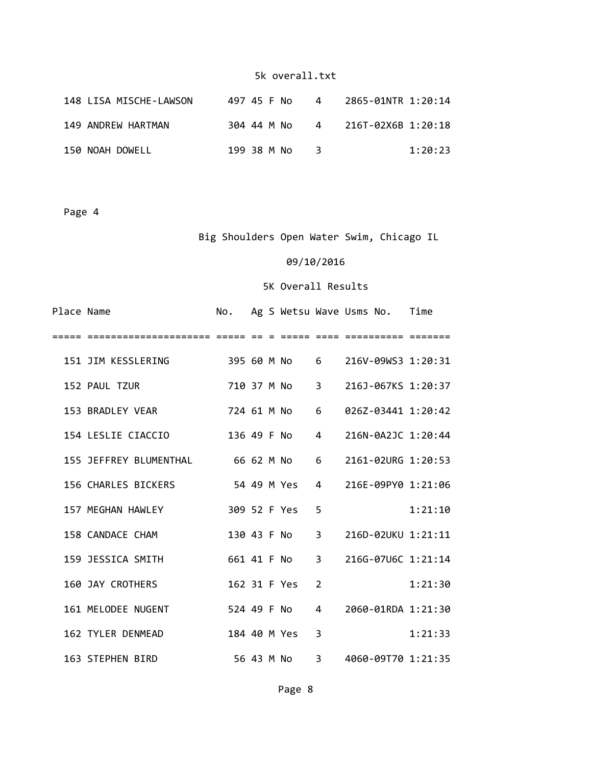| 148 LISA MISCHE-LAWSON | 497 45 F No | $\overline{4}$ | 2865-01NTR 1:20:14 |
|------------------------|-------------|----------------|--------------------|
| 149 ANDREW HARTMAN     | 304 44 M No | 4              | 216T-02X6B 1:20:18 |
| 150 NOAH DOWELL        | 199 38 M No |                | 1:20:23            |

Page 4

Big Shoulders Open Water Swim, Chicago IL

### 09/10/2016

| Place Name |                                     | No.          |  |                            |                | Ag S Wetsu Wave Usms No. Time |         |
|------------|-------------------------------------|--------------|--|----------------------------|----------------|-------------------------------|---------|
|            |                                     |              |  |                            |                |                               |         |
|            | 151 JIM KESSLERING<br>395 60 M No 6 |              |  |                            |                | 216V-09WS3 1:20:31            |         |
|            | 152 PAUL TZUR                       | 710 37 M No  |  | $\overline{\phantom{a}}$ 3 |                | 216J-067KS 1:20:37            |         |
|            | 153 BRADLEY VEAR                    |              |  | 724 61 M No                | 6              | 026Z-03441 1:20:42            |         |
|            | 154 LESLIE CIACCIO                  | 136 49 F No  |  |                            | $\overline{a}$ | 216N-0A2JC 1:20:44            |         |
|            | 155 JEFFREY BLUMENTHAL              | 66 62 M No   |  |                            | 6              | 2161-02URG 1:20:53            |         |
|            | 156 CHARLES BICKERS                 |              |  | 54 49 M Yes                | 4              | 216E-09PY0 1:21:06            |         |
|            | 157 MEGHAN HAWLEY                   | 309 52 F Yes |  |                            | 5              |                               | 1:21:10 |
|            | 158 CANDACE CHAM                    |              |  | 130 43 F No                | 3              | 216D-02UKU 1:21:11            |         |
|            | 159 JESSICA SMITH                   | 661 41 F No  |  |                            | 3              | 216G-07U6C 1:21:14            |         |
|            | <b>160 JAY CROTHERS</b>             | 162 31 F Yes |  |                            | $\overline{2}$ |                               | 1:21:30 |
|            | 161 MELODEE NUGENT                  | 524 49 F No  |  |                            | $\overline{4}$ | 2060-01RDA 1:21:30            |         |
|            | 162 TYLER DENMEAD                   | 184 40 M Yes |  |                            | 3              |                               | 1:21:33 |
|            | 163 STEPHEN BIRD                    |              |  | 56 43 M No                 | 3              | 4060-09T70 1:21:35            |         |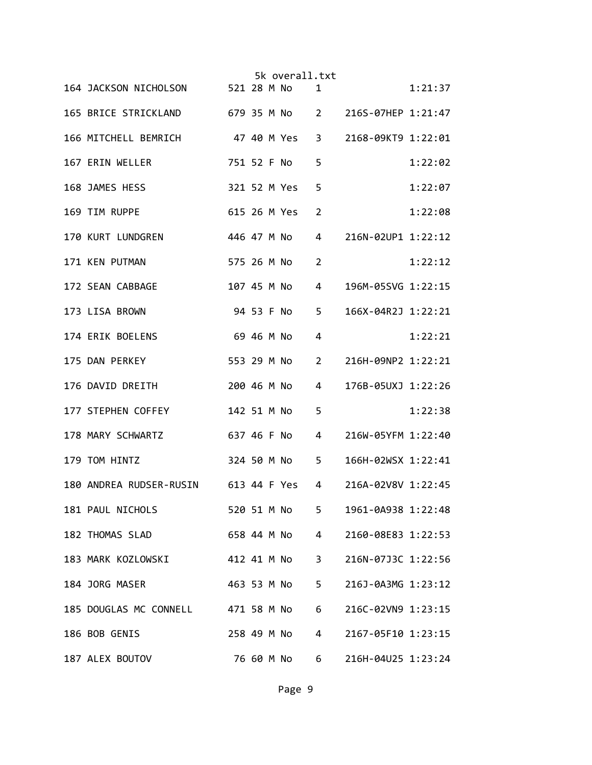|                                                       | 5k overall.txt |                                      |         |
|-------------------------------------------------------|----------------|--------------------------------------|---------|
| 164 JACKSON NICHOLSON 521 28 M No                     |                | 1                                    | 1:21:37 |
| 165 BRICE STRICKLAND 679 35 M No 2 216S-07HEP 1:21:47 |                |                                      |         |
| 166 MITCHELL BEMRICH 47 40 M Yes                      |                | 3<br>2168-09KT9 1:22:01              |         |
| 167 ERIN WELLER                                       | 751 52 F No    | 5                                    | 1:22:02 |
| 168 JAMES HESS                                        | 321 52 M Yes   | 5                                    | 1:22:07 |
| 169 TIM RUPPE                                         | 615 26 M Yes   | 2                                    | 1:22:08 |
| 170 KURT LUNDGREN                                     | 446 47 M No    | 4<br>216N-02UP1 1:22:12              |         |
| 171 KEN PUTMAN                                        | 575 26 M No    | 2                                    | 1:22:12 |
| 172 SEAN CABBAGE                                      | 107 45 M No    | 4<br>196M-05SVG 1:22:15              |         |
| 173 LISA BROWN                                        | 94 53 F No     | 5<br>166X-04R2J 1:22:21              |         |
| 174 ERIK BOELENS                                      | 69 46 M No     | 4                                    | 1:22:21 |
| 175 DAN PERKEY                                        | 553 29 M No    | 216H-09NP2 1:22:21<br>2              |         |
| 176 DAVID DREITH                                      | 200 46 M No    | 176B-05UXJ 1:22:26<br>4              |         |
| 177 STEPHEN COFFEY                                    | 142 51 M No    | 5                                    | 1:22:38 |
| 178 MARY SCHWARTZ                                     | 637 46 F No    | 216W-05YFM 1:22:40<br>4              |         |
| 179 TOM HINTZ                                         | 324 50 M No 5  | 166H-02WSX 1:22:41                   |         |
| 180 ANDREA RUDSER-RUSIN 613 44 F Yes                  |                | 4<br>216A-02V8V 1:22:45              |         |
| 181 PAUL NICHOLS                                      | 520 51 M No    | 1961-0A938 1:22:48<br>5 <sub>1</sub> |         |
| 182 THOMAS SLAD 658 44 M No                           |                | 2160-08E83 1:22:53<br>$4 \quad$      |         |
| 183 MARK KOZLOWSKI 412 41 M No                        |                | $3^{\circ}$<br>216N-07J3C 1:22:56    |         |
| 184 JORG MASER                                        | 463 53 M No    | $5 -$<br>216J-0A3MG 1:23:12          |         |
| 185 DOUGLAS MC CONNELL 471 58 M No                    |                | 6<br>216C-02VN9 1:23:15              |         |
| 186 BOB GENIS                                         | 258 49 M No    | 2167-05F10 1:23:15<br>4              |         |
| 187 ALEX BOUTOV                                       | 76 60 M No     | 216H-04U25 1:23:24<br>6              |         |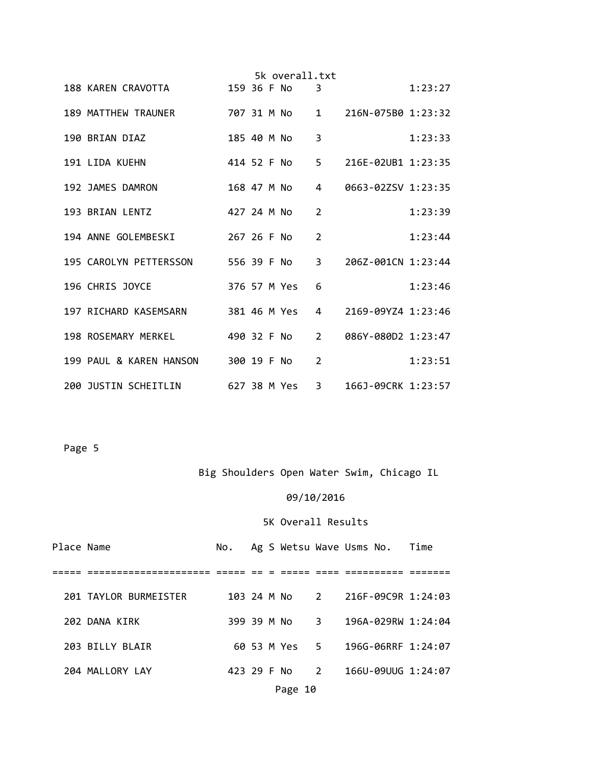|  |                                            |             |  | 5k overall.txt |                |                                        |         |
|--|--------------------------------------------|-------------|--|----------------|----------------|----------------------------------------|---------|
|  | 188 KAREN CRAVOTTA                         |             |  | 159 36 F No    | 3              |                                        | 1:23:27 |
|  | 189 MATTHEW TRAUNER                        |             |  | 707 31 M No    |                | $1 \qquad 216N - 075B0 \qquad 1:23:32$ |         |
|  | 190 BRIAN DIAZ                             |             |  |                | 3              |                                        | 1:23:33 |
|  | 191 LIDA KUEHN                             |             |  | 414 52 F No    |                | 5 216E-02UB1 1:23:35                   |         |
|  | 192 JAMES DAMRON                           |             |  | 168 47 M No    | $\overline{4}$ | 0663-02ZSV 1:23:35                     |         |
|  | 193 BRIAN LENTZ                            | 427 24 M No |  |                | $\overline{2}$ |                                        | 1:23:39 |
|  | 194 ANNE GOLEMBESKI                        | 267 26 F No |  |                | 2              |                                        | 1:23:44 |
|  | 195 CAROLYN PETTERSSON         556 39 F No |             |  |                | $\overline{3}$ | 206Z-001CN 1:23:44                     |         |
|  | 196 CHRIS JOYCE                            |             |  | 376 57 M Yes   | 6              |                                        | 1:23:46 |
|  | 197 RICHARD KASEMSARN                      |             |  | 381 46 M Yes   | 4              | 2169-09YZ4 1:23:46                     |         |
|  | 198 ROSEMARY MERKEL                        |             |  | 490 32 F No    | $2^{\circ}$    | 086Y-080D2 1:23:47                     |         |
|  | 199 PAUL & KAREN HANSON 300 19 F No        |             |  |                | 2              |                                        | 1:23:51 |
|  | 200 JUSTIN SCHEITLIN                       |             |  | 627 38 M Yes   | $\overline{3}$ | 166J-09CRK 1:23:57                     |         |

# Big Shoulders Open Water Swim, Chicago IL

# 09/10/2016

| Place Name |                       |  |               | No. Ag S Wetsu Wave Usms No. Time |  |
|------------|-----------------------|--|---------------|-----------------------------------|--|
|            |                       |  |               |                                   |  |
|            | 201 TAYLOR BURMEISTER |  |               | 103 24 M No 2 216F-09C9R 1:24:03  |  |
|            | 202 DANA KIRK         |  | 399 39 M No 3 | 196A-029RW 1:24:04                |  |
|            | 203 BILLY BLAIR       |  | 60 53 M Yes 5 | 196G-06RRF 1:24:07                |  |
|            | 204 MALLORY LAY       |  | 423 29 F No 2 | 166U-09UUG 1:24:07                |  |
|            |                       |  | Page 10       |                                   |  |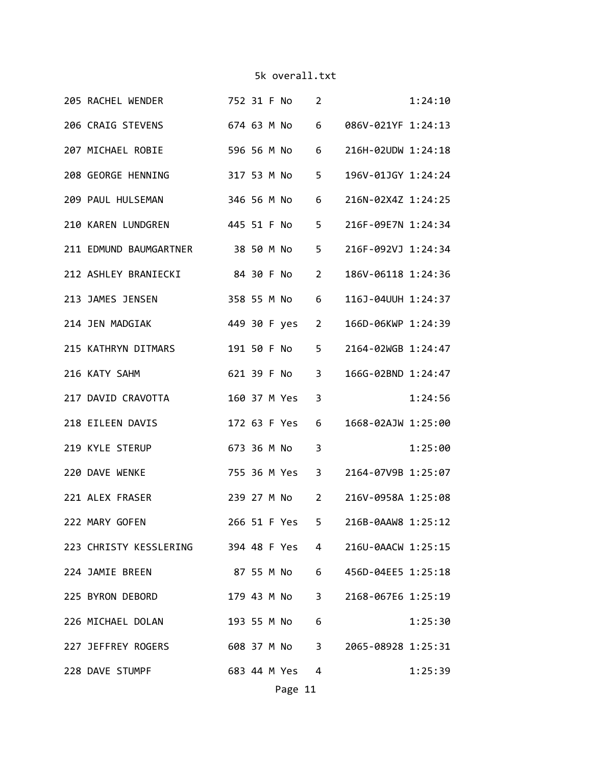| 205 RACHEL WENDER 752 31 F No                            |  |                | $\overline{2}$          |                                   | 1:24:10 |
|----------------------------------------------------------|--|----------------|-------------------------|-----------------------------------|---------|
| 206 CRAIG STEVENS 674 63 M No                            |  |                | 6                       | 086V-021YF 1:24:13                |         |
| 207 MICHAEL ROBIE                                        |  | 596 56 M No    | 6                       | 216H-02UDW 1:24:18                |         |
| 208 GEORGE HENNING 317 53 M No                           |  |                | 5                       | 196V-01JGY 1:24:24                |         |
| 209 PAUL HULSEMAN 346 56 M No 6                          |  |                |                         | 216N-02X4Z 1:24:25                |         |
| 210 KAREN LUNDGREN 445 51 F No 5                         |  |                |                         | 216F-09E7N 1:24:34                |         |
| 211 EDMUND BAUMGARTNER 38 50 M No 5                      |  |                |                         | 216F-092VJ 1:24:34                |         |
| 212 ASHLEY BRANIECKI 84 30 F No                          |  |                | $\overline{2}$          | 186V-06118 1:24:36                |         |
| 213 JAMES JENSEN                                         |  | 358 55 M No 6  |                         | 116J-04UUH 1:24:37                |         |
| 214 JEN MADGIAK                                          |  | 449 30 F yes 2 |                         | 166D-06KWP 1:24:39                |         |
| 215 KATHRYN DITMARS                                      |  | 191 50 F No    | 5                       | 2164-02WGB 1:24:47                |         |
| 216 KATY SAHM                                            |  | 621 39 F No    | $\overline{\mathbf{3}}$ | 166G-02BND 1:24:47                |         |
| 217 DAVID CRAVOTTA                                       |  | 160 37 M Yes 3 |                         |                                   | 1:24:56 |
| 218 EILEEN DAVIS                                         |  | 172 63 F Yes 6 |                         | 1668-02AJW 1:25:00                |         |
| 219 KYLE STERUP                                          |  | 673 36 M No    | $\overline{\mathbf{3}}$ |                                   | 1:25:00 |
| 220 DAVE WENKE                                           |  | 755 36 M Yes 3 |                         | 2164-07V9B 1:25:07                |         |
| 221 ALEX FRASER                                          |  |                |                         | 239 27 M No 2 216V-0958A 1:25:08  |         |
| 222 MARY GOFEN                                           |  |                |                         | 266 51 F Yes 5 216B-0AAW8 1:25:12 |         |
| 223 CHRISTY KESSLERING 394 48 F Yes 4 216U-0AACW 1:25:15 |  |                |                         |                                   |         |
| 224 JAMIE BREEN                                          |  |                |                         | 87 55 M No 6 456D-04EE5 1:25:18   |         |
| 225 BYRON DEBORD                                         |  |                |                         | 179 43 M No 3 2168-067E6 1:25:19  |         |
| 226 MICHAEL DOLAN                                        |  | 193 55 M No 6  |                         |                                   | 1:25:30 |
| 227 JEFFREY ROGERS 608 37 M No 3 2065-08928 1:25:31      |  |                |                         |                                   |         |
| 228 DAVE STUMPF 683 44 M Yes 4                           |  |                |                         |                                   | 1:25:39 |
|                                                          |  | Page 11        |                         |                                   |         |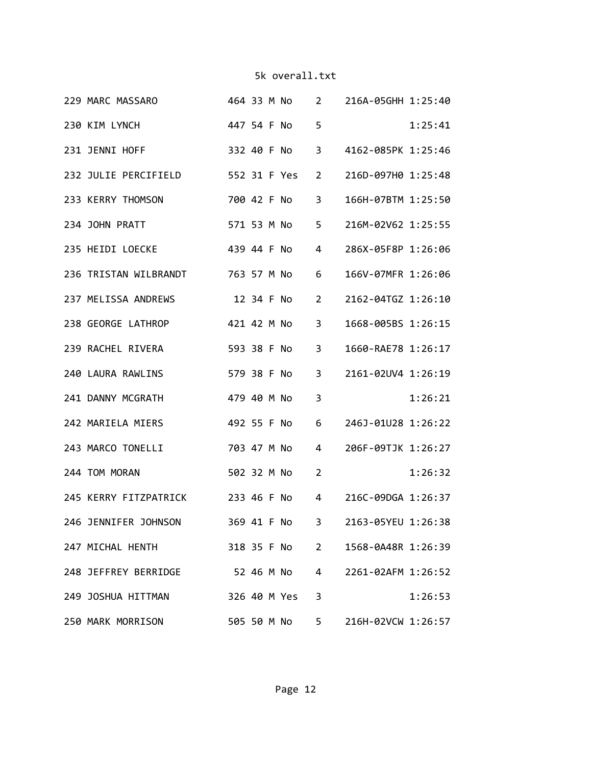|  | 229 MARC MASSARO 464 33 M No 2 216A-05GHH 1:25:40     |             |  |             |                |                                  |         |
|--|-------------------------------------------------------|-------------|--|-------------|----------------|----------------------------------|---------|
|  | 230 KIM LYNCH                                         |             |  | 447 54 F No | 5              |                                  | 1:25:41 |
|  | 231 JENNI HOFF                                        |             |  | 332 40 F No | $3^{\circ}$    | 4162-085PK 1:25:46               |         |
|  | 232 JULIE PERCIFIELD 552 31 F Yes                     |             |  |             | $\overline{2}$ | 216D-097H0 1:25:48               |         |
|  | 233 KERRY THOMSON                                     |             |  | 700 42 F No | 3              | 166H-07BTM 1:25:50               |         |
|  | 234 JOHN PRATT                                        |             |  | 571 53 M No | $5 -$          | 216M-02V62 1:25:55               |         |
|  | 439 44 F No<br>235 HEIDI LOECKE                       |             |  |             | 4              | 286X-05F8P 1:26:06               |         |
|  | 236 TRISTAN WILBRANDT 763 57 M No                     |             |  |             | 6              | 166V-07MFR 1:26:06               |         |
|  | 237 MELISSA ANDREWS                                   |             |  | 12 34 F No  | 2              | 2162-04TGZ 1:26:10               |         |
|  | 238 GEORGE LATHROP                                    | 421 42 M No |  |             | 3              | 1668-005BS 1:26:15               |         |
|  | 239 RACHEL RIVERA                                     | 593 38 F No |  |             | 3              | 1660-RAE78 1:26:17               |         |
|  | 240 LAURA RAWLINS                                     | 579 38 F No |  |             | 3              | 2161-02UV4 1:26:19               |         |
|  | 241 DANNY MCGRATH                                     | 479 40 M No |  |             | 3              |                                  | 1:26:21 |
|  | 242 MARIELA MIERS                                     | 492 55 F No |  |             | 6              | 246J-01U28 1:26:22               |         |
|  | 243 MARCO TONELLI<br>703 47 M No                      |             |  |             | $\overline{4}$ | 206F-09TJK 1:26:27               |         |
|  | 244 TOM MORAN                                         |             |  | 502 32 M No | $\overline{2}$ |                                  | 1:26:32 |
|  | 245 KERRY FITZPATRICK 233 46 F No                     |             |  |             | $4 \quad$      | 216C-09DGA 1:26:37               |         |
|  | 246 JENNIFER JOHNSON 369 41 F No 3 2163-05YEU 1:26:38 |             |  |             |                |                                  |         |
|  | 247 MICHAL HENTH                                      |             |  |             |                | 318 35 F No 2 1568-0A48R 1:26:39 |         |
|  | 248 JEFFREY BERRIDGE 52 46 M No 4                     |             |  |             |                | 2261-02AFM 1:26:52               |         |
|  | 249 JOSHUA HITTMAN 326 40 M Yes                       |             |  |             | 3              |                                  | 1:26:53 |
|  | 250 MARK MORRISON 505 50 M No 5                       |             |  |             |                | 216H-02VCW 1:26:57               |         |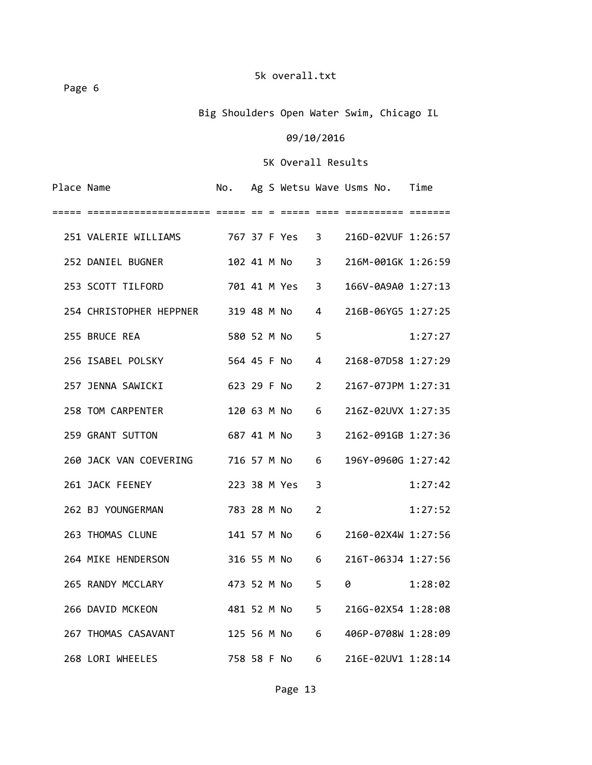Page 6

# Big Shoulders Open Water Swim, Chicago IL

### 09/10/2016

| Place Name |                                                        |  |                |                | No. Ag S Wetsu Wave Usms No. Time |         |
|------------|--------------------------------------------------------|--|----------------|----------------|-----------------------------------|---------|
| =====      |                                                        |  |                |                |                                   |         |
|            | 251 VALERIE WILLIAMS 767 37 F Yes 3 216D-02VUF 1:26:57 |  |                |                |                                   |         |
|            | 252 DANIEL BUGNER                                      |  |                |                | 102 41 M No 3 216M-001GK 1:26:59  |         |
|            | 253 SCOTT TILFORD                                      |  | 701 41 M Yes 3 |                | 166V-0A9A0 1:27:13                |         |
|            | 254 CHRISTOPHER HEPPNER 319 48 M No                    |  |                | $\overline{4}$ | 216B-06YG5 1:27:25                |         |
|            | 255 BRUCE REA                                          |  | 580 52 M No    | 5              |                                   | 1:27:27 |
|            | 256 ISABEL POLSKY                                      |  | 564 45 F No 4  |                | 2168-07D58 1:27:29                |         |
|            | 257 JENNA SAWICKI                                      |  | 623 29 F No 2  |                | 2167-07JPM 1:27:31                |         |
|            | 258 TOM CARPENTER                                      |  | 120 63 M No 6  |                | 216Z-02UVX 1:27:35                |         |
|            | 259 GRANT SUTTON 687 41 M No 3                         |  |                |                | 2162-091GB 1:27:36                |         |
|            | 260 JACK VAN COEVERING 716 57 M No 6                   |  |                |                | 196Y-0960G 1:27:42                |         |
|            | 261 JACK FEENEY                                        |  | 223 38 M Yes   | $\overline{3}$ |                                   | 1:27:42 |
|            | 262 BJ YOUNGERMAN                                      |  | 783 28 M No    | $\overline{2}$ |                                   | 1:27:52 |
|            | 263 THOMAS CLUNE                                       |  | 141 57 M No    | 6              | 2160-02X4W 1:27:56                |         |
|            | 264 MIKE HENDERSON                                     |  | 316 55 M No 6  |                | 216T-063J4 1:27:56                |         |
|            | 265 RANDY MCCLARY                                      |  | 473 52 M No    | 5              | $0 \t 1:28:02$                    |         |
|            | 266 DAVID MCKEON                                       |  | 481 52 M No 5  |                | 216G-02X54 1:28:08                |         |
|            | 267 THOMAS CASAVANT                                    |  | 125 56 M No 6  |                | 406P-0708W 1:28:09                |         |
|            | 268 LORI WHEELES                                       |  |                |                | 758 58 F No 6 216E-02UV1 1:28:14  |         |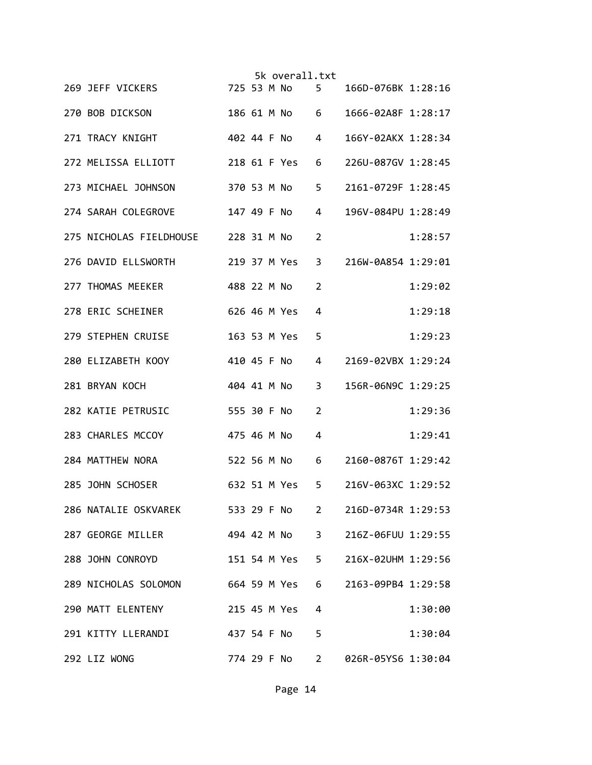|  |                                     |             |  | 5k overall.txt |             |                    |         |
|--|-------------------------------------|-------------|--|----------------|-------------|--------------------|---------|
|  | 269 JEFF VICKERS                    |             |  | 725 53 M No 5  |             | 166D-076BK 1:28:16 |         |
|  | 270 BOB DICKSON                     |             |  | 186 61 M No 6  |             | 1666-02A8F 1:28:17 |         |
|  | 271 TRACY KNIGHT                    |             |  | 402 44 F No 4  |             | 166Y-02AKX 1:28:34 |         |
|  | 272 MELISSA ELLIOTT                 |             |  | 218 61 F Yes   | 6           | 226U-087GV 1:28:45 |         |
|  | 273 MICHAEL JOHNSON                 | 370 53 M No |  |                | 5           | 2161-0729F 1:28:45 |         |
|  | 274 SARAH COLEGROVE                 |             |  |                | 4           | 196V-084PU 1:28:49 |         |
|  | 275 NICHOLAS FIELDHOUSE 228 31 M No |             |  |                | 2           |                    | 1:28:57 |
|  | 276 DAVID ELLSWORTH 219 37 M Yes    |             |  |                | 3           | 216W-0A854 1:29:01 |         |
|  | 277 THOMAS MEEKER                   |             |  | 488 22 M No    | 2           |                    | 1:29:02 |
|  | 278 ERIC SCHEINER                   |             |  | 626 46 M Yes   | 4           |                    | 1:29:18 |
|  | 279 STEPHEN CRUISE                  |             |  | 163 53 M Yes   | 5           |                    | 1:29:23 |
|  | 280 ELIZABETH KOOY                  | 410 45 F No |  |                | 4           | 2169-02VBX 1:29:24 |         |
|  | 281 BRYAN KOCH                      | 404 41 M No |  |                | 3           | 156R-06N9C 1:29:25 |         |
|  | 282 KATIE PETRUSIC                  | 555 30 F No |  |                | 2           |                    | 1:29:36 |
|  | 283 CHARLES MCCOY                   | 475 46 M No |  |                | 4           |                    | 1:29:41 |
|  | 284 MATTHEW NORA<br>522 56 M No 6   |             |  |                |             | 2160-0876T 1:29:42 |         |
|  | 285 JOHN SCHOSER                    |             |  | 632 51 M Yes   | 5           | 216V-063XC 1:29:52 |         |
|  | 286 NATALIE OSKVAREK 533 29 F No    |             |  |                | $2^{\circ}$ | 216D-0734R 1:29:53 |         |
|  | 287 GEORGE MILLER 494 42 M No       |             |  |                | $3^{\circ}$ | 216Z-06FUU 1:29:55 |         |
|  | 288 JOHN CONROYD                    |             |  | 151 54 M Yes   | $5 -$       | 216X-02UHM 1:29:56 |         |
|  | 289 NICHOLAS SOLOMON                |             |  | 664 59 M Yes   | 6           | 2163-09PB4 1:29:58 |         |
|  | 290 MATT ELENTENY                   |             |  | 215 45 M Yes   | 4           |                    | 1:30:00 |
|  | 291 KITTY LLERANDI                  |             |  | 437 54 F No    | 5           |                    | 1:30:04 |
|  | 292 LIZ WONG                        |             |  | 774 29 F No    | $2^{\circ}$ | 026R-05YS6 1:30:04 |         |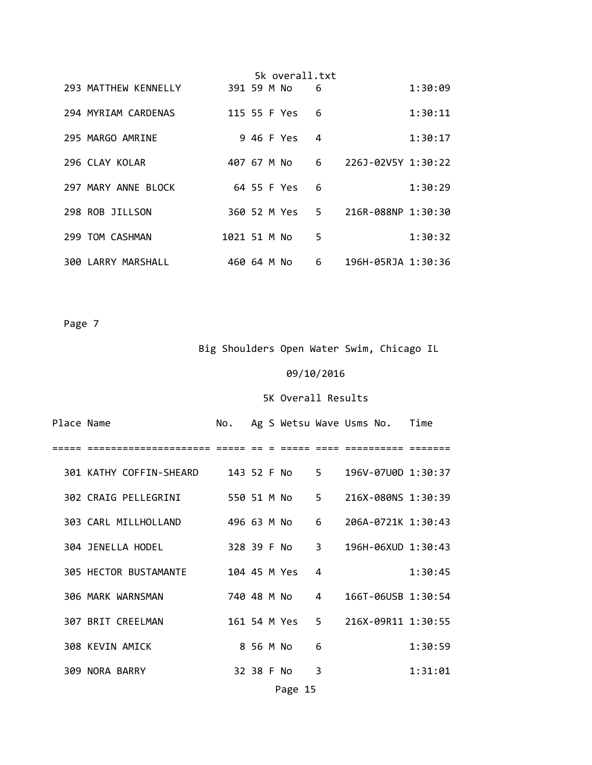|  |                      |              |  | 5k overall.txt |       |                    |         |
|--|----------------------|--------------|--|----------------|-------|--------------------|---------|
|  | 293 MATTHEW KENNELLY | 391 59 M No  |  |                | 6     |                    | 1:30:09 |
|  | 294 MYRIAM CARDENAS  |              |  | 115 55 F Yes   | 6     |                    | 1:30:11 |
|  | 295 MARGO AMRINE     |              |  | 9 46 F Yes     | 4     |                    | 1:30:17 |
|  | 296 CLAY KOLAR       | 407 67 M No  |  |                | 6     | 226J-02V5Y 1:30:22 |         |
|  | 297 MARY ANNE BLOCK  |              |  | 64 55 F Yes    | 6     |                    | 1:30:29 |
|  | 298 ROB JILLSON      |              |  | 360 52 M Yes   | $5 -$ | 216R-088NP 1:30:30 |         |
|  | 299 TOM CASHMAN      | 1021 51 M No |  |                | 5     |                    | 1:30:32 |
|  | 300 LARRY MARSHALL   | 460 64 M No  |  |                | 6     | 196H-05RJA 1:30:36 |         |

Big Shoulders Open Water Swim, Chicago IL

### 09/10/2016

### 5K Overall Results

| Place Name |                       |              |            |               |                | No. Ag S Wetsu Wave Usms No. Time |         |
|------------|-----------------------|--------------|------------|---------------|----------------|-----------------------------------|---------|
|            |                       |              |            |               |                |                                   |         |
|            |                       |              |            |               |                |                                   |         |
|            | 302 CRAIG PELLEGRINI  | 550 51 M No  |            |               | 5              | 216X-080NS 1:30:39                |         |
|            | 303 CARL MILLHOLLAND  |              |            | 496 63 M No 6 |                | 206A-0721K 1:30:43                |         |
|            | 304 JENELLA HODEL     |              |            | 328 39 F No 3 |                | $196H - 06XUD$ $1:30:43$          |         |
|            | 305 HECTOR BUSTAMANTE | 104 45 M Yes |            |               | 4              |                                   | 1:30:45 |
|            | 306 MARK WARNSMAN     |              |            | 740 48 M No   | $\overline{4}$ | 166T-06USB 1:30:54                |         |
|            | 307 BRIT CREELMAN     |              |            | 161 54 M Yes  |                | 5 216X-09R11 1:30:55              |         |
|            | 308 KEVIN AMICK       |              | 8 56 M No  |               | 6              |                                   | 1:30:59 |
|            | 309 NORA BARRY        |              | 32 38 F No |               | 3              |                                   | 1:31:01 |
|            |                       |              |            |               |                |                                   |         |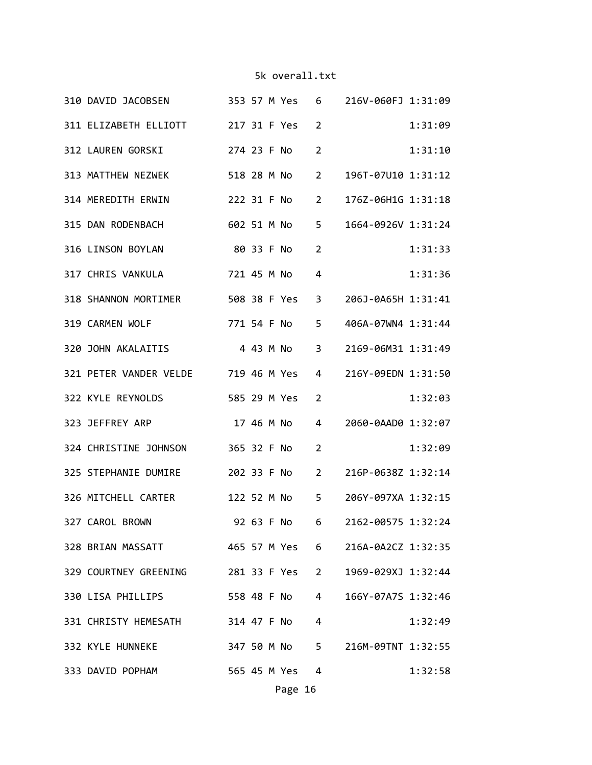| 310 DAVID JACOBSEN 353 57 M Yes 6 216V-060FJ 1:31:09 |  |                |                |                                  |         |
|------------------------------------------------------|--|----------------|----------------|----------------------------------|---------|
| 311 ELIZABETH ELLIOTT 217 31 F Yes 2                 |  |                |                |                                  | 1:31:09 |
| 312 LAUREN GORSKI 274 23 F No                        |  |                | 2              |                                  | 1:31:10 |
| 313 MATTHEW NEZWEK                                   |  | 518 28 M No    |                | 2 196T-07U10 1:31:12             |         |
| 314 MEREDITH ERWIN                                   |  | 222 31 F No    | $2^{\circ}$    | 176Z-06H1G 1:31:18               |         |
| 315 DAN RODENBACH 602 51 M No                        |  |                |                | 5 1664-0926V 1:31:24             |         |
| 80 33 F No 2<br>316 LINSON BOYLAN                    |  |                |                |                                  | 1:31:33 |
| 317 CHRIS VANKULA 721 45 M No 4                      |  |                |                |                                  | 1:31:36 |
| 318 SHANNON MORTIMER                                 |  | 508 38 F Yes 3 |                | 206J-0A65H 1:31:41               |         |
| 319 CARMEN WOLF                                      |  | 771 54 F No    | 5              | 406A-07WN4 1:31:44               |         |
| 320 JOHN AKALAITIS 443 M No 3                        |  |                |                | 2169-06M31 1:31:49               |         |
| 321 PETER VANDER VELDE 719 46 M Yes                  |  |                | 4              | 216Y-09EDN 1:31:50               |         |
| 322 KYLE REYNOLDS 585 29 M Yes                       |  |                | $\overline{2}$ |                                  | 1:32:03 |
| 323 JEFFREY ARP 17 46 M No 4                         |  |                |                | 2060-0AAD0 1:32:07               |         |
| 324 CHRISTINE JOHNSON 365 32 F No 2                  |  |                |                |                                  | 1:32:09 |
| 325 STEPHANIE DUMIRE                                 |  | 202 33 F No 2  |                | 216P-0638Z 1:32:14               |         |
| 326 MITCHELL CARTER                                  |  |                |                | 122 52 M No 5 206Y-097XA 1:32:15 |         |
| 327 CAROL BROWN 92 63 F No 6 2162-00575 1:32:24      |  |                |                |                                  |         |
| 328 BRIAN MASSATT 465 57 M Yes 6 216A-0A2CZ 1:32:35  |  |                |                |                                  |         |
| 329 COURTNEY GREENING 281 33 F Yes 2                 |  |                |                | 1969-029XJ 1:32:44               |         |
| 330 LISA PHILLIPS 558 48 F No 4                      |  |                |                | 166Y-07A7S 1:32:46               |         |
| 331 CHRISTY HEMESATH 314 47 F No 4                   |  |                |                |                                  | 1:32:49 |
| 332 KYLE HUNNEKE 347 50 M No 5 216M-09TNT 1:32:55    |  |                |                |                                  |         |
| 333 DAVID POPHAM 565 45 M Yes 4                      |  |                |                |                                  | 1:32:58 |
|                                                      |  |                |                |                                  |         |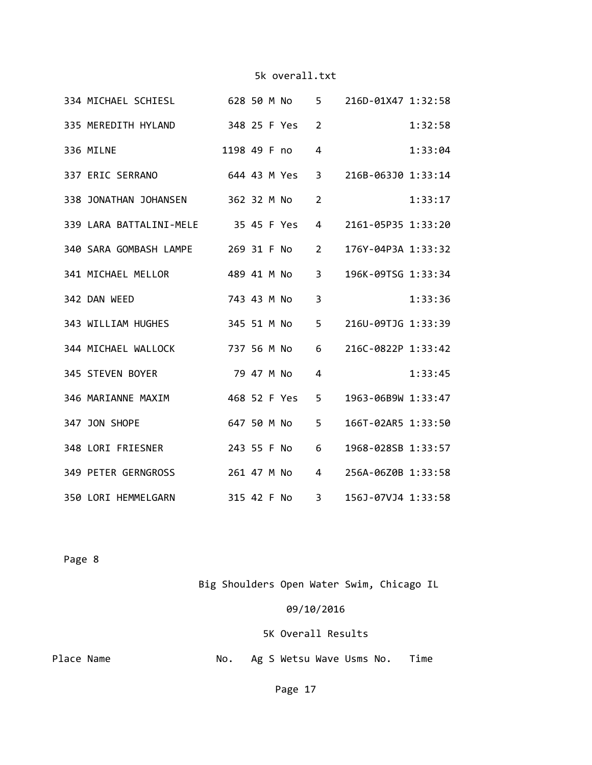|  | 334 MICHAEL SCHIESL 628 50 M No     |              |  |                | 5 216D-01X47 1:32:58 |         |
|--|-------------------------------------|--------------|--|----------------|----------------------|---------|
|  | 335 MEREDITH HYLAND 348 25 F Yes    |              |  | $\overline{2}$ |                      | 1:32:58 |
|  | 336 MILNE                           | 1198 49 F no |  | 4              |                      | 1:33:04 |
|  | 337 ERIC SERRANO 644 43 M Yes       |              |  | 3              | 216B-063J0 1:33:14   |         |
|  | 338 JONATHAN JOHANSEN 362 32 M No   |              |  | $\overline{2}$ |                      | 1:33:17 |
|  | 339 LARA BATTALINI-MELE 35 45 F Yes |              |  | 4              | 2161-05P35 1:33:20   |         |
|  | 340 SARA GOMBASH LAMPE 269 31 F No  |              |  | $\overline{2}$ | 176Y-04P3A 1:33:32   |         |
|  | 341 MICHAEL MELLOR 489 41 M No      |              |  | $\overline{3}$ | 196K-09TSG 1:33:34   |         |
|  | 342 DAN WEED                        | 743 43 M No  |  | $\overline{3}$ |                      | 1:33:36 |
|  | 343 WILLIAM HUGHES                  | 345 51 M No  |  | 5              | 216U-09TJG 1:33:39   |         |
|  | 344 MICHAEL WALLOCK                 | 737 56 M No  |  | 6              | 216C-0822P 1:33:42   |         |
|  | 79 47 M No<br>345 STEVEN BOYER      |              |  | 4              |                      | 1:33:45 |
|  | 468 52 F Yes<br>346 MARIANNE MAXIM  |              |  | 5              | 1963-06B9W 1:33:47   |         |
|  | 347 JON SHOPE                       | 647 50 M No  |  | 5              | 166T-02AR5 1:33:50   |         |
|  | 348 LORI FRIESNER                   | 243 55 F No  |  | 6              | 1968-028SB 1:33:57   |         |
|  | 349 PETER GERNGROSS 261 47 M No     |              |  | 4              | 256A-06Z0B 1:33:58   |         |
|  | 315 42 F No<br>350 LORI HEMMELGARN  |              |  | $3^{\circ}$    | 156J-07VJ4 1:33:58   |         |

Page 8

Big Shoulders Open Water Swim, Chicago IL

09/10/2016

5K Overall Results

Place Name **Blace Name No.** Ag S Wetsu Wave Usms No. Time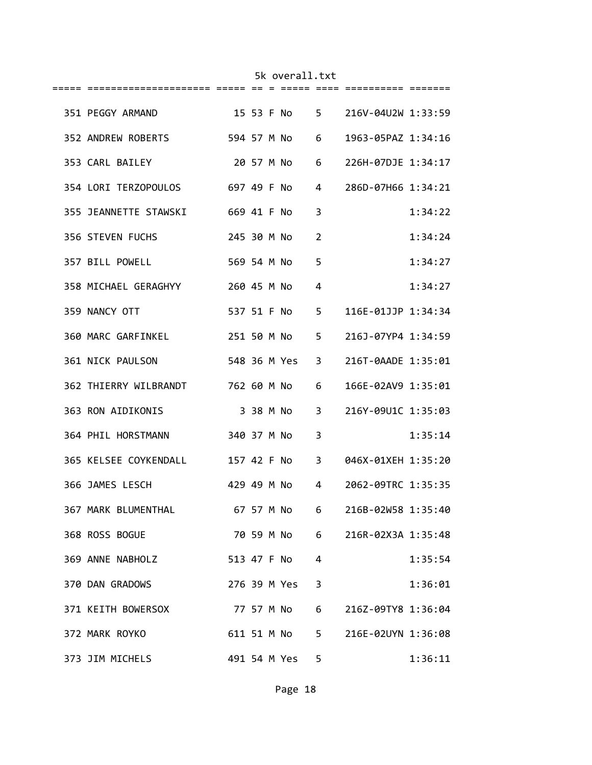| 351 PEGGY ARMAND                                       |  |               |                | 15 53 F No 5 216V-04U2W 1:33:59   |         |
|--------------------------------------------------------|--|---------------|----------------|-----------------------------------|---------|
| 352 ANDREW ROBERTS 594 57 M No 6                       |  |               |                | 1963-05PAZ 1:34:16                |         |
| 353 CARL BAILEY                                        |  |               |                | 20 57 M No 6 226H-07DJE 1:34:17   |         |
| 354 LORI TERZOPOULOS 697 49 F No                       |  |               |                | 4 286D-07H66 1:34:21              |         |
| 355 JEANNETTE STAWSKI 669 41 F No                      |  |               | 3              |                                   | 1:34:22 |
| 356 STEVEN FUCHS 245 30 M No                           |  |               | $\overline{2}$ |                                   | 1:34:24 |
| 357 BILL POWELL 569 54 M No                            |  |               | 5              |                                   | 1:34:27 |
| 358 MICHAEL GERAGHYY                                   |  | 260 45 M No   | 4              |                                   | 1:34:27 |
| 359 NANCY OTT                                          |  |               |                | 537 51 F No 5 116E-01JJP 1:34:34  |         |
| 360 MARC GARFINKEL 251 50 M No 5 216J-07YP4 1:34:59    |  |               |                |                                   |         |
| 361 NICK PAULSON                                       |  |               |                | 548 36 M Yes 3 216T-0AADE 1:35:01 |         |
| 362 THIERRY WILBRANDT 762 60 M No                      |  |               | 6              | 166E-02AV9 1:35:01                |         |
| 363 RON AIDIKONIS                                      |  | 3 38 M No     |                | 3 216Y-09U1C 1:35:03              |         |
| 364 PHIL HORSTMANN 340 37 M No                         |  |               | 3              |                                   | 1:35:14 |
| 365 KELSEE COYKENDALL 157 42 F No 3 046X-01XEH 1:35:20 |  |               |                |                                   |         |
| 366 JAMES LESCH                                        |  |               |                | 429 49 M No 4 2062-09TRC 1:35:35  |         |
| 367 MARK BLUMENTHAL                                    |  |               |                | 67 57 M No 6 216B-02W58 1:35:40   |         |
| 368 ROSS BOGUE                                         |  |               |                | 70 59 M No 6 216R-02X3A 1:35:48   |         |
| 369 ANNE NABHOLZ                                       |  | 513 47 F No 4 |                |                                   | 1:35:54 |
| 370 DAN GRADOWS                                        |  | 276 39 M Yes  | $\overline{3}$ |                                   | 1:36:01 |
| 371 KEITH BOWERSOX                                     |  | 77 57 M No    | $6 \quad$      | 216Z-09TY8 1:36:04                |         |
| 372 MARK ROYKO                                         |  | 611 51 M No   |                | 5 216E-02UYN 1:36:08              |         |
| 373 JIM MICHELS                                        |  | 491 54 M Yes  | 5              |                                   | 1:36:11 |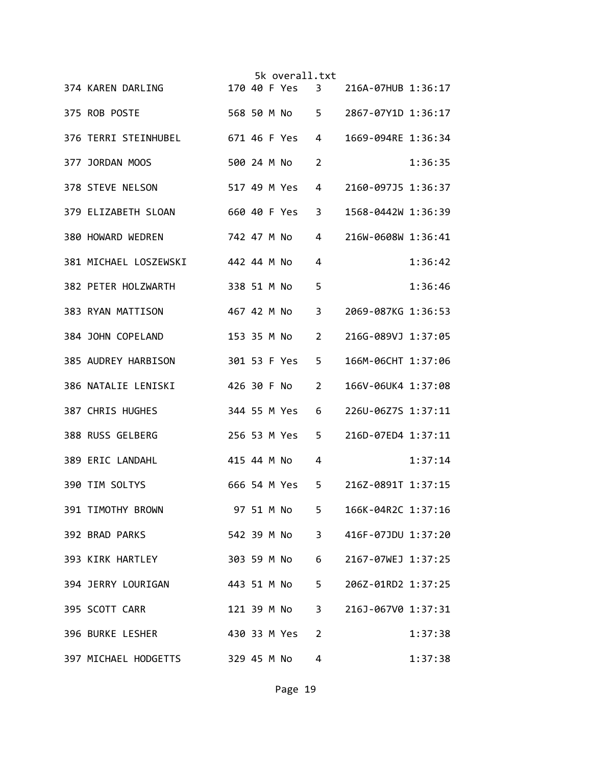|  |                                   |             |  | 5k overall.txt |                |                    |         |
|--|-----------------------------------|-------------|--|----------------|----------------|--------------------|---------|
|  | 374 KAREN DARLING                 |             |  | 170 40 F Yes 3 |                | 216A-07HUB 1:36:17 |         |
|  | 375 ROB POSTE                     |             |  | 568 50 M No 5  |                | 2867-07Y1D 1:36:17 |         |
|  | 376 TERRI STEINHUBEL              |             |  | 671 46 F Yes   | 4              | 1669-094RE 1:36:34 |         |
|  | 377 JORDAN MOOS                   | 500 24 M No |  |                | 2              |                    | 1:36:35 |
|  | 378 STEVE NELSON                  |             |  | 517 49 M Yes   | 4              | 2160-097J5 1:36:37 |         |
|  | 379 ELIZABETH SLOAN               |             |  | 660 40 F Yes   | 3              | 1568-0442W 1:36:39 |         |
|  | 380 HOWARD WEDREN                 | 742 47 M No |  |                | 4              | 216W-0608W 1:36:41 |         |
|  | 381 MICHAEL LOSZEWSKI 442 44 M No |             |  |                | 4              |                    | 1:36:42 |
|  | 382 PETER HOLZWARTH               | 338 51 M No |  |                | 5              |                    | 1:36:46 |
|  | 383 RYAN MATTISON                 | 467 42 M No |  |                | $\overline{3}$ | 2069-087KG 1:36:53 |         |
|  | 384 JOHN COPELAND                 | 153 35 M No |  |                | $\overline{2}$ | 216G-089VJ 1:37:05 |         |
|  | 385 AUDREY HARBISON               |             |  | 301 53 F Yes   | 5              | 166M-06CHT 1:37:06 |         |
|  | 386 NATALIE LENISKI               | 426 30 F No |  |                | $\overline{2}$ | 166V-06UK4 1:37:08 |         |
|  | 387 CHRIS HUGHES                  |             |  | 344 55 M Yes   | 6              | 226U-06Z7S 1:37:11 |         |
|  | 388 RUSS GELBERG                  |             |  | 256 53 M Yes   | 5              | 216D-07ED4 1:37:11 |         |
|  | 389 ERIC LANDAHL                  | 415 44 M No |  |                | 4              |                    | 1:37:14 |
|  | 390 TIM SOLTYS                    |             |  | 666 54 M Yes   | 5              | 216Z-0891T 1:37:15 |         |
|  | 391 TIMOTHY BROWN                 |             |  | 97 51 M No     | 5              | 166K-04R2C 1:37:16 |         |
|  | 392 BRAD PARKS                    |             |  | 542 39 M No    | 3 <sup>7</sup> | 416F-07JDU 1:37:20 |         |
|  | 393 KIRK HARTLEY                  |             |  | 303 59 M No    | 6              | 2167-07WEJ 1:37:25 |         |
|  | 394 JERRY LOURIGAN                |             |  | 443 51 M No    | 5 <sub>1</sub> | 206Z-01RD2 1:37:25 |         |
|  | 395 SCOTT CARR                    |             |  | 121 39 M No    | $3^{\circ}$    | 216J-067V0 1:37:31 |         |
|  | 396 BURKE LESHER                  |             |  | 430 33 M Yes   | $\overline{2}$ |                    | 1:37:38 |
|  | 397 MICHAEL HODGETTS              |             |  | 329 45 M No    | 4              |                    | 1:37:38 |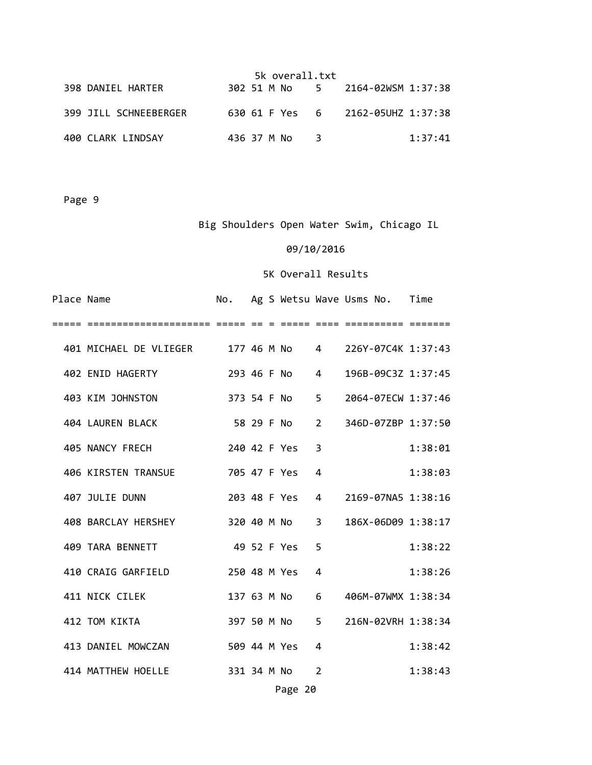|                       | 5k overall.txt |  |  |     |  |                                   |         |  |
|-----------------------|----------------|--|--|-----|--|-----------------------------------|---------|--|
| 398 DANIEL HARTER     |                |  |  |     |  | 302 51 M No 5 2164-02WSM 1:37:38  |         |  |
| 399 JILL SCHNEEBERGER |                |  |  |     |  | 630 61 F Yes 6 2162-05UHZ 1:37:38 |         |  |
| 400 CLARK LINDSAY     | 436 37 M No    |  |  | - 3 |  |                                   | 1:37:41 |  |

# Big Shoulders Open Water Swim, Chicago IL

### 09/10/2016

| Place Name |                                                         | No.           |  |              |       | Ag S Wetsu Wave Usms No. Time |         |
|------------|---------------------------------------------------------|---------------|--|--------------|-------|-------------------------------|---------|
|            |                                                         |               |  |              |       |                               |         |
|            | 401 MICHAEL DE VLIEGER 177 46 M No 4 226Y-07C4K 1:37:43 |               |  |              |       |                               |         |
|            | 402 ENID HAGERTY                                        | 293 46 F No 4 |  |              |       | 196B-09C3Z 1:37:45            |         |
|            | 403 KIM JOHNSTON                                        |               |  | 373 54 F No  | $5 -$ | 2064-07ECW 1:37:46            |         |
|            | 404 LAUREN BLACK                                        |               |  | 58 29 F No   |       | 2 346D-07ZBP 1:37:50          |         |
|            | 405 NANCY FRECH                                         | 240 42 F Yes  |  |              | 3     |                               | 1:38:01 |
|            | 406 KIRSTEN TRANSUE                                     | 705 47 F Yes  |  |              | 4     |                               | 1:38:03 |
|            | 407 JULIE DUNN                                          |               |  | 203 48 F Yes |       | 4 2169-07NA5 1:38:16          |         |
|            | 408 BARCLAY HERSHEY 320 40 M No                         |               |  |              |       | 3 186X-06D09 1:38:17          |         |
|            | 409 TARA BENNETT                                        |               |  | 49 52 F Yes  | 5     |                               | 1:38:22 |
|            | 410 CRAIG GARFIELD                                      | 250 48 M Yes  |  |              | 4     |                               | 1:38:26 |
|            | 411 NICK CILEK                                          |               |  | 137 63 M No  | 6     | 406M-07WMX 1:38:34            |         |
|            | 412 TOM KIKTA                                           |               |  | 397 50 M No  |       | 5 216N-02VRH 1:38:34          |         |
|            | 413 DANIEL MOWCZAN                                      | 509 44 M Yes  |  |              | 4     |                               | 1:38:42 |
|            | 414 MATTHEW HOELLE<br>331 34 M No                       |               |  |              | 2     |                               | 1:38:43 |
|            |                                                         |               |  | Page 20      |       |                               |         |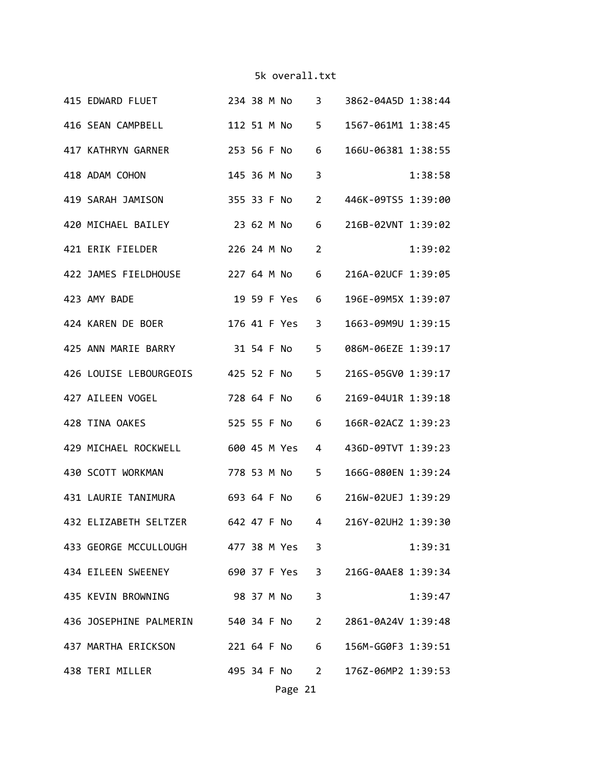| 415 EDWARD FLUET 234 38 M No 3 3862-04A5D 1:38:44       |  |               |                |                                  |         |
|---------------------------------------------------------|--|---------------|----------------|----------------------------------|---------|
| 416 SEAN CAMPBELL                                       |  | 112 51 M No 5 |                | 1567-061M1 1:38:45               |         |
| 417 KATHRYN GARNER                                      |  | 253 56 F No 6 |                | 166U-06381 1:38:55               |         |
| 418 ADAM COHON                                          |  | 145 36 M No   | 3              |                                  | 1:38:58 |
| 419 SARAH JAMISON                                       |  | 355 33 F No   | $\overline{2}$ | 446K-09TS5 1:39:00               |         |
| 420 MICHAEL BAILEY 23 62 M No 6                         |  |               |                | 216B-02VNT 1:39:02               |         |
| 421 ERIK FIELDER 226 24 M No 2                          |  |               |                |                                  | 1:39:02 |
| 422 JAMES FIELDHOUSE                                    |  |               |                | 227 64 M No 6 216A-02UCF 1:39:05 |         |
| 423 AMY BADE                                            |  | 19 59 F Yes 6 |                | 196E-09M5X 1:39:07               |         |
| 424 KAREN DE BOER                                       |  | 176 41 F Yes  | $\overline{3}$ | 1663-09M9U 1:39:15               |         |
| 425 ANN MARIE BARRY 31 54 F No                          |  |               | 5              | 086M-06EZE 1:39:17               |         |
| 426 LOUISE LEBOURGEOIS 425 52 F No                      |  |               | 5              | 216S-05GV0 1:39:17               |         |
| 427 AILEEN VOGEL                                        |  | 728 64 F No 6 |                | 2169-04U1R 1:39:18               |         |
| 428 TINA OAKES                                          |  | 525 55 F No 6 |                | 166R-02ACZ 1:39:23               |         |
| 429 MICHAEL ROCKWELL 600 45 M Yes 4                     |  |               |                | 436D-09TVT 1:39:23               |         |
| 430 SCOTT WORKMAN                                       |  | 778 53 M No 5 |                | 166G-080EN 1:39:24               |         |
| 431 LAURIE TANIMURA 693 64 F No 6 216W-02UEJ 1:39:29    |  |               |                |                                  |         |
| 432 ELIZABETH SELTZER 642 47 F No 4 216Y-02UH2 1:39:30  |  |               |                |                                  |         |
| 433 GEORGE MCCULLOUGH 477 38 M Yes 3                    |  |               |                |                                  | 1:39:31 |
| 434 EILEEN SWEENEY 690 37 F Yes 3 216G-0AAE8 1:39:34    |  |               |                |                                  |         |
| 435 KEVIN BROWNING 98 37 M No 3                         |  |               |                |                                  | 1:39:47 |
| 436 JOSEPHINE PALMERIN 540 34 F No 2 2861-0A24V 1:39:48 |  |               |                |                                  |         |
| 437 MARTHA ERICKSON 221 64 F No 6 156M-GG0F3 1:39:51    |  |               |                |                                  |         |
| 438 TERI MILLER 495 34 F No 2 176Z-06MP2 1:39:53        |  |               |                |                                  |         |
|                                                         |  | Page 21       |                |                                  |         |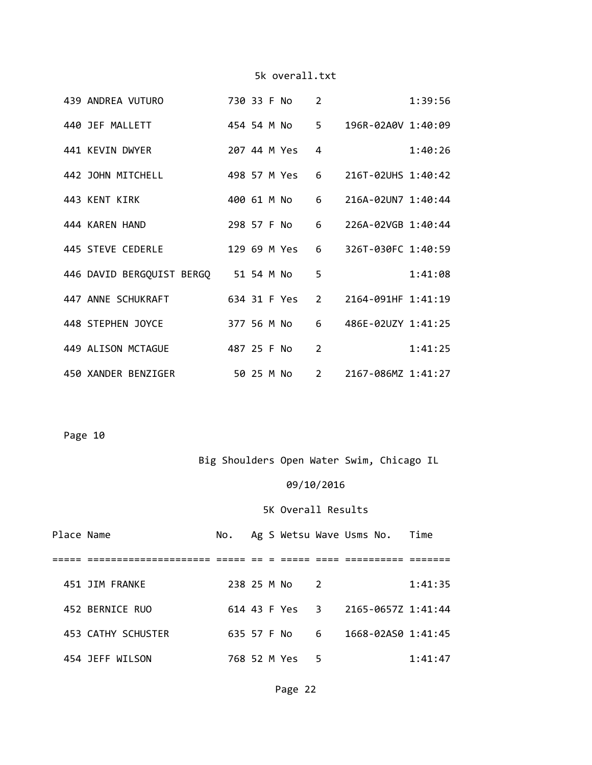|  | 439 ANDREA VUTURO                    |  | 730 33 F No  | 2              |                      | 1:39:56 |
|--|--------------------------------------|--|--------------|----------------|----------------------|---------|
|  | 440 JEF MALLETT                      |  | 454 54 M No  |                | 5 196R-02A0V 1:40:09 |         |
|  | 441 KEVIN DWYER                      |  | 207 44 M Yes | 4              |                      | 1:40:26 |
|  | 442 JOHN MITCHELL                    |  | 498 57 M Yes |                | 6 216T-02UHS 1:40:42 |         |
|  | 443 KENT KIRK                        |  | 400 61 M No  | 6              | 216A-02UN7 1:40:44   |         |
|  | 444 KAREN HAND                       |  | 298 57 F No  | 6              | 226A-02VGB 1:40:44   |         |
|  | 445 STEVE CEDERLE                    |  | 129 69 M Yes |                | 6 326T-030FC 1:40:59 |         |
|  | 446 DAVID BERGQUIST BERGQ 51 54 M No |  |              | 5              |                      | 1:41:08 |
|  | 447 ANNE SCHUKRAFT                   |  | 634 31 F Yes |                | 2 2164-091HF 1:41:19 |         |
|  | 448 STEPHEN JOYCE                    |  | 377 56 M No  |                | 6 486E-02UZY 1:41:25 |         |
|  | 449 ALISON MCTAGUE                   |  | 487 25 F No  | $\overline{2}$ |                      | 1:41:25 |
|  | 450 XANDER BENZIGER                  |  | 50 25 M No   |                | 2 2167-086MZ 1:41:27 |         |

Page 10

# Big Shoulders Open Water Swim, Chicago IL

# 09/10/2016

#### 5K Overall Results

| Place Name |                    |             |  |              |                 | No. Ag S Wetsu Wave Usms No. Time |         |
|------------|--------------------|-------------|--|--------------|-----------------|-----------------------------------|---------|
|            |                    |             |  |              |                 |                                   |         |
|            | 451 JIM FRANKE     | 238 25 M No |  |              | $\mathcal{L}$   |                                   | 1:41:35 |
|            | 452 BERNICE RUO    |             |  |              |                 | 614 43 F Yes 3 2165-0657Z 1:41:44 |         |
|            | 453 CATHY SCHUSTER | 635 57 F No |  |              | $6\overline{6}$ | 1668-02AS0 1:41:45                |         |
|            | 454 JEFF WILSON    |             |  | 768 52 M Yes | 5               |                                   | 1:41:47 |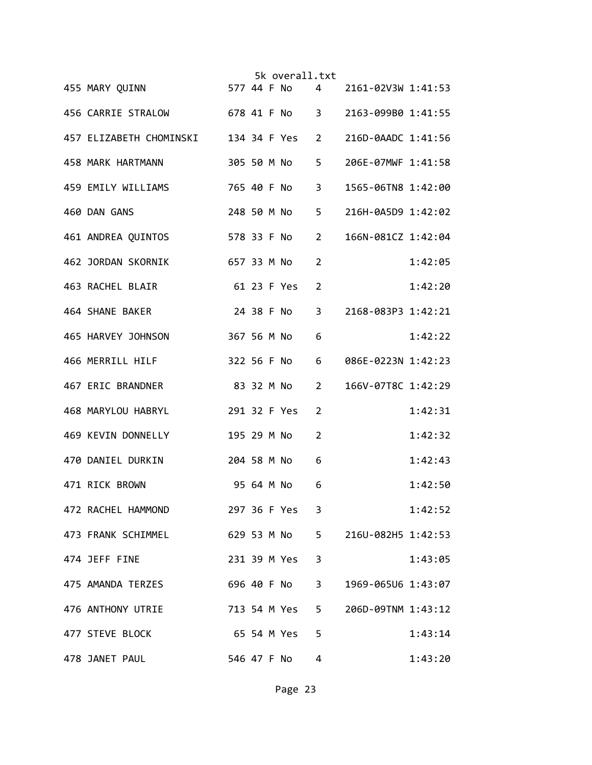|                                                        |            |  | 5k overall.txt |                |                    |         |
|--------------------------------------------------------|------------|--|----------------|----------------|--------------------|---------|
| ык overall.txt<br>4    577  44  F No<br>455 MARY QUINN |            |  |                |                | 2161-02V3W 1:41:53 |         |
| 456 CARRIE STRALOW 678 41 F No 3                       |            |  |                |                | 2163-099B0 1:41:55 |         |
| 457 ELIZABETH CHOMINSKI 134 34 F Yes 2                 |            |  |                |                | 216D-0AADC 1:41:56 |         |
| 458 MARK HARTMANN                                      |            |  | 305 50 M No    | 5              | 206E-07MWF 1:41:58 |         |
| 459 EMILY WILLIAMS                                     |            |  | 765 40 F No    | 3              | 1565-06TN8 1:42:00 |         |
| 460 DAN GANS                                           |            |  | 248 50 M No    | 5              | 216H-0A5D9 1:42:02 |         |
| 461 ANDREA QUINTOS 578 33 F No                         |            |  |                | $\overline{2}$ | 166N-081CZ 1:42:04 |         |
| 657 33 M No<br>462 JORDAN SKORNIK                      |            |  |                | 2              |                    | 1:42:05 |
| 61 23 F Yes 2<br>463 RACHEL BLAIR                      |            |  |                |                |                    | 1:42:20 |
| 464 SHANE BAKER                                        |            |  | 24 38 F No 3   |                | 2168-083P3 1:42:21 |         |
| 465 HARVEY JOHNSON                                     |            |  | 367 56 M No    | 6              |                    | 1:42:22 |
| 466 MERRILL HILF                                       |            |  | 322 56 F No    | 6              | 086E-0223N 1:42:23 |         |
| 83 32 M No<br>467 ERIC BRANDNER                        |            |  |                | $\overline{2}$ | 166V-07T8C 1:42:29 |         |
| 468 MARYLOU HABRYL                                     |            |  | 291 32 F Yes   | 2              |                    | 1:42:31 |
| 469 KEVIN DONNELLY                                     |            |  | 195 29 M No    | $\overline{2}$ |                    | 1:42:32 |
| 204 58 M No<br>470 DANIEL DURKIN                       |            |  |                | 6              |                    | 1:42:43 |
| 471 RICK BROWN                                         | 95 64 M No |  |                | 6              |                    | 1:42:50 |
| 472 RACHEL HAMMOND                                     |            |  | 297 36 F Yes 3 |                |                    | 1:42:52 |
| 473 FRANK SCHIMMEL 629 53 M No 5 216U-082H5 1:42:53    |            |  |                |                |                    |         |
| 474 JEFF FINE                                          |            |  | 231 39 M Yes 3 |                |                    | 1:43:05 |
| 475 AMANDA TERZES                                      |            |  | 696 40 F No 3  |                | 1969-065U6 1:43:07 |         |
| 476 ANTHONY UTRIE                                      |            |  | 713 54 M Yes 5 |                | 206D-09TNM 1:43:12 |         |
| 477 STEVE BLOCK<br>65 54 M Yes 5                       |            |  |                |                |                    | 1:43:14 |
| 478 JANET PAUL                                         |            |  | 546 47 F No 4  |                |                    | 1:43:20 |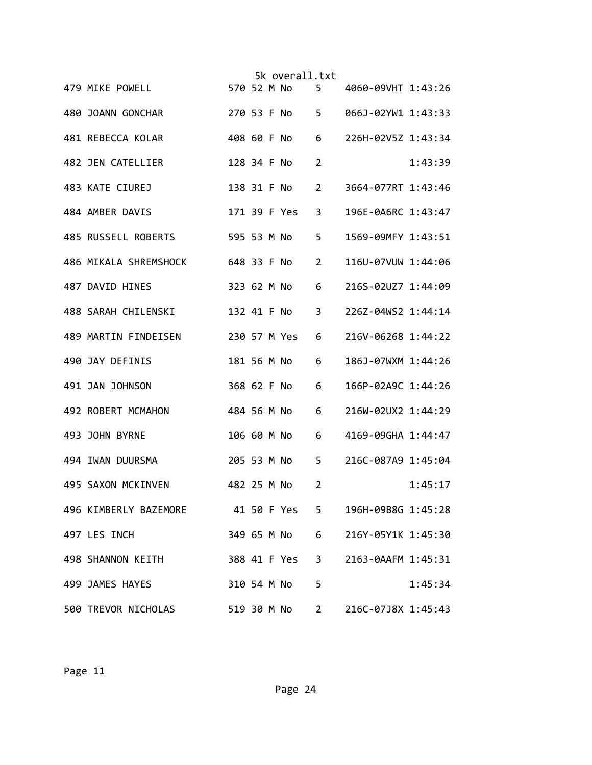|                                     |             |  | 5k overall.txt |                |                                  |         |
|-------------------------------------|-------------|--|----------------|----------------|----------------------------------|---------|
| 479 MIKE POWELL                     |             |  | 570 52 M No 5  |                | 4060-09VHT 1:43:26               |         |
| 480 JOANN GONCHAR                   |             |  | 270 53 F No 5  |                | 066J-02YW1 1:43:33               |         |
| 481 REBECCA KOLAR                   |             |  | 408 60 F No    | 6              | 226H-02V5Z 1:43:34               |         |
| 482 JEN CATELLIER                   | 128 34 F No |  |                | 2              |                                  | 1:43:39 |
| 483 KATE CIUREJ                     |             |  | 138 31 F No    | $\overline{2}$ | 3664-077RT 1:43:46               |         |
| 484 AMBER DAVIS                     |             |  | 171 39 F Yes   | 3              | 196E-0A6RC 1:43:47               |         |
| 485 RUSSELL ROBERTS 595 53 M No     |             |  |                | 5              | 1569-09MFY 1:43:51               |         |
| 486 MIKALA SHREMSHOCK 648 33 F No   |             |  |                | 2              | 116U-07VUW 1:44:06               |         |
| 487 DAVID HINES                     |             |  | 323 62 M No    | 6              | 216S-02UZ7 1:44:09               |         |
| 488 SARAH CHILENSKI                 |             |  | 132 41 F No    | $\overline{3}$ | 226Z-04WS2 1:44:14               |         |
| 489 MARTIN FINDEISEN                |             |  | 230 57 M Yes   | 6              | 216V-06268 1:44:22               |         |
| 490 JAY DEFINIS                     |             |  | 181 56 M No    | 6              | 186J-07WXM 1:44:26               |         |
| 491 JAN JOHNSON                     |             |  | 368 62 F No    | 6              | 166P-02A9C 1:44:26               |         |
| 492 ROBERT MCMAHON                  | 484 56 M No |  |                | 6              | 216W-02UX2 1:44:29               |         |
| 493 JOHN BYRNE                      |             |  | 106 60 M No    | 6              | 4169-09GHA 1:44:47               |         |
| 494 IWAN DUURSMA                    |             |  | 205 53 M No    | 5              | 216C-087A9 1:45:04               |         |
| 495 SAXON MCKINVEN                  | 482 25 M No |  |                | $\overline{2}$ |                                  | 1:45:17 |
| 496 KIMBERLY BAZEMORE 41 50 F Yes 5 |             |  |                |                | 196H-09B8G 1:45:28               |         |
| 497 LES INCH                        |             |  |                |                | 349 65 M No 6 216Y-05Y1K 1:45:30 |         |
| 498 SHANNON KEITH                   |             |  | 388 41 F Yes 3 |                | 2163-0AAFM 1:45:31               |         |
| 499 JAMES HAYES                     |             |  | 310 54 M No    | 5              |                                  | 1:45:34 |
| 500 TREVOR NICHOLAS                 |             |  | 519 30 M No    | $2^{\sim}$     | 216C-07J8X 1:45:43               |         |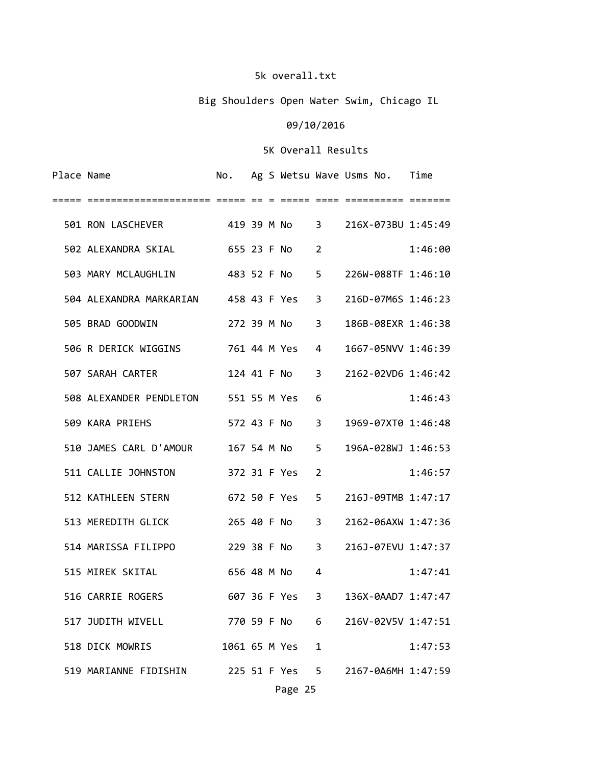# Big Shoulders Open Water Swim, Chicago IL

# 09/10/2016

| Place Name |                                      |                |  |               |                | No. Ag S Wetsu Wave Usms No. Time |         |
|------------|--------------------------------------|----------------|--|---------------|----------------|-----------------------------------|---------|
|            |                                      |                |  |               |                |                                   |         |
|            | 501 RON LASCHEVER 419 39 M No 3      |                |  |               |                | 216X-073BU 1:45:49                |         |
|            | 502 ALEXANDRA SKIAL 655 23 F No      |                |  |               | 2              |                                   | 1:46:00 |
|            | 503 MARY MCLAUGHLIN 483 52 F No 5    |                |  |               |                | 226W-088TF 1:46:10                |         |
|            | 504 ALEXANDRA MARKARIAN 458 43 F Yes |                |  |               | 3              | 216D-07M6S 1:46:23                |         |
|            | 505 BRAD GOODWIN                     |                |  | 272 39 M No   | $\overline{3}$ | 186B-08EXR 1:46:38                |         |
|            | 506 R DERICK WIGGINS 761 44 M Yes    |                |  |               | 4              | 1667-05NVV 1:46:39                |         |
|            | 124 41 F No 3<br>507 SARAH CARTER    |                |  |               |                | 2162-02VD6 1:46:42                |         |
|            | 508 ALEXANDER PENDLETON 551 55 M Yes |                |  |               | 6              |                                   | 1:46:43 |
|            | 509 KARA PRIEHS                      |                |  | 572 43 F No 3 |                | 1969-07XT0 1:46:48                |         |
|            | 510 JAMES CARL D'AMOUR 167 54 M No 5 |                |  |               |                | 196A-028WJ 1:46:53                |         |
|            | 511 CALLIE JOHNSTON 372 31 F Yes     |                |  |               | 2              |                                   | 1:46:57 |
|            | 672 50 F Yes<br>512 KATHLEEN STERN   |                |  |               | 5              | 216J-09TMB 1:47:17                |         |
|            | 513 MEREDITH GLICK                   | 265 40 F No    |  |               | 3              | 2162-06AXW 1:47:36                |         |
|            | 514 MARISSA FILIPPO                  | 229 38 F No 3  |  |               |                | 216J-07EVU 1:47:37                |         |
|            | 515 MIREK SKITAL                     | 656 48 M No    |  |               | 4              |                                   | 1:47:41 |
|            | 516 CARRIE ROGERS                    | 607 36 F Yes 3 |  |               |                | 136X-0AAD7 1:47:47                |         |
|            | 517 JUDITH WIVELL                    | 770 59 F No 6  |  |               |                | 216V-02V5V 1:47:51                |         |
|            | 518 DICK MOWRIS                      |                |  | 1061 65 M Yes | 1              |                                   | 1:47:53 |
|            | 519 MARIANNE FIDISHIN                | 225 51 F Yes 5 |  |               |                | 2167-0A6MH 1:47:59                |         |
|            |                                      |                |  | Page 25       |                |                                   |         |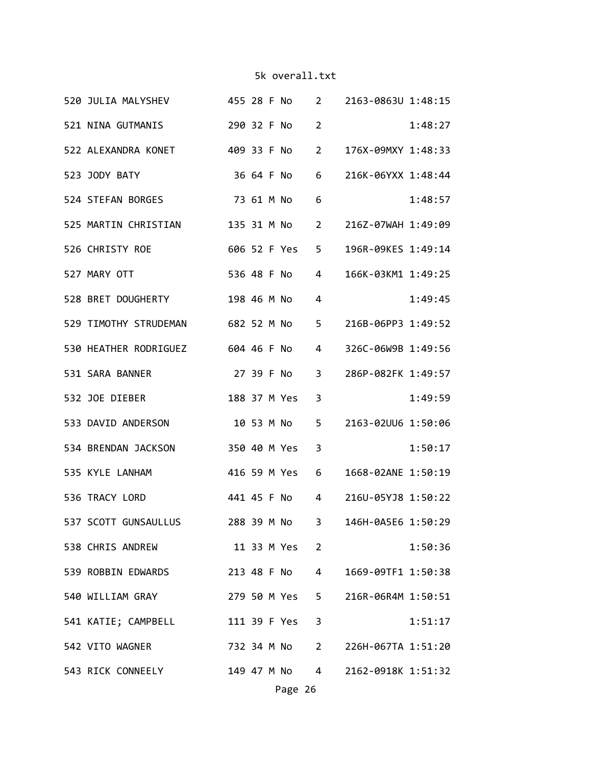|  | 520 JULIA MALYSHEV 455 28 F No 2 2163-0863U 1:48:15   |  |              |                |                      |         |
|--|-------------------------------------------------------|--|--------------|----------------|----------------------|---------|
|  | 521 NINA GUTMANIS                                     |  | 290 32 F No  | $\overline{2}$ |                      | 1:48:27 |
|  | 522 ALEXANDRA KONET 409 33 F No                       |  |              | $\overline{2}$ | 176X-09MXY 1:48:33   |         |
|  | 523 JODY BATY                                         |  | 36 64 F No   | 6              | 216K-06YXX 1:48:44   |         |
|  | 524 STEFAN BORGES 73 61 M No                          |  |              | 6              |                      | 1:48:57 |
|  | 525 MARTIN CHRISTIAN 135 31 M No                      |  |              |                | 2 216Z-07WAH 1:49:09 |         |
|  | 526 CHRISTY ROE<br>606 52 F Yes 5                     |  |              |                | 196R-09KES 1:49:14   |         |
|  | 527 MARY OTT                                          |  | 536 48 F No  | $\overline{4}$ | 166K-03KM1 1:49:25   |         |
|  | 528 BRET DOUGHERTY                                    |  |              | 4              |                      | 1:49:45 |
|  | 529 TIMOTHY STRUDEMAN 682 52 M No                     |  |              | $5 -$          | 216B-06PP3 1:49:52   |         |
|  | 530 HEATHER RODRIGUEZ 604 46 F No                     |  |              | 4              | 326C-06W9B 1:49:56   |         |
|  | 531 SARA BANNER                                       |  | 27 39 F No   | 3              | 286P-082FK 1:49:57   |         |
|  | 532 JOE DIEBER                                        |  | 188 37 M Yes | 3              |                      | 1:49:59 |
|  | 533 DAVID ANDERSON 10 53 M No                         |  |              |                | 5 2163-02UU6 1:50:06 |         |
|  | 534 BRENDAN JACKSON                                   |  | 350 40 M Yes | $\overline{3}$ |                      | 1:50:17 |
|  | 535 KYLE LANHAM                                       |  | 416 59 M Yes | 6              | 1668-02ANE 1:50:19   |         |
|  | 536 TRACY LORD                                        |  | 441 45 F No  | $4 \quad$      | 216U-05YJ8 1:50:22   |         |
|  | 537 SCOTT GUNSAULLUS 288 39 M No 3 146H-0A5E6 1:50:29 |  |              |                |                      |         |
|  | 538 CHRIS ANDREW                                      |  |              | 11 33 M Yes 2  |                      | 1:50:36 |
|  | 539 ROBBIN EDWARDS 213 48 F No 4 1669-09TF1 1:50:38   |  |              |                |                      |         |
|  | 540 WILLIAM GRAY 279 50 M Yes 5 216R-06R4M 1:50:51    |  |              |                |                      |         |
|  | 541 KATIE; CAMPBELL 111 39 F Yes 3                    |  |              |                |                      | 1:51:17 |
|  | 542 VITO WAGNER 732 34 M No 2 226H-067TA 1:51:20      |  |              |                |                      |         |
|  | 543 RICK CONNEELY 149 47 M No 4 2162-0918K 1:51:32    |  |              |                |                      |         |
|  |                                                       |  | Page 26      |                |                      |         |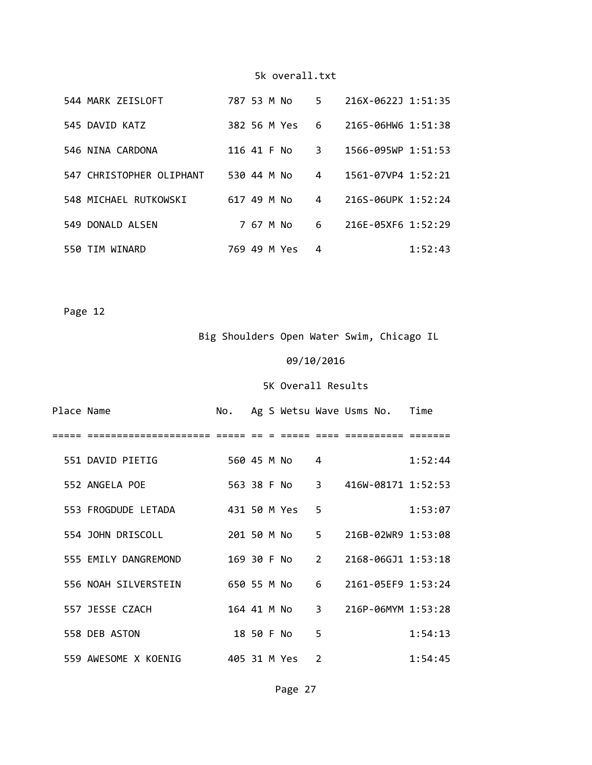| 544 MARK ZEISLOFT        | 787 53 M No  | 5.             | 216X-0622J 1:51:35       |
|--------------------------|--------------|----------------|--------------------------|
| 545 DAVID KATZ           | 382 56 M Yes | 6              | 2165-06HW6 1:51:38       |
| 546 NINA CARDONA         | 116 41 F No  | 3.             | $1566 - 095WP$ $1:51:53$ |
| 547 CHRISTOPHER OLIPHANT | 530 44 M No  | $\overline{4}$ | 1561-07VP4 1:52:21       |
| 548 MICHAEL RUTKOWSKI    | 617 49 M No  | 4              | 216S-06UPK 1:52:24       |
| 549 DONALD ALSEN         | 7 67 M No    | 6              | 216E-05XF6 1:52:29       |
| TIM WINARD<br>550.       | 769 49 M Yes | 4              | 1:52:43                  |

Page 12

Big Shoulders Open Water Swim, Chicago IL

#### 09/10/2016

| Place Name |                      |              |            |               |                | No. Ag S Wetsu Wave Usms No. Time |         |
|------------|----------------------|--------------|------------|---------------|----------------|-----------------------------------|---------|
|            |                      |              |            |               |                |                                   |         |
|            | 551 DAVID PIETIG     | 560 45 M No  |            |               | 4              |                                   | 1:52:44 |
|            | 552 ANGELA POE       |              |            |               |                | 563 38 F No 3 416W-08171 1:52:53  |         |
|            | 553 FROGDUDE LETADA  | 431 50 M Yes |            |               | 5              |                                   | 1:53:07 |
|            | 554 JOHN DRISCOLL    |              |            |               |                | 201 50 M No 5 216B-02WR9 1:53:08  |         |
|            | 555 EMILY DANGREMOND | 169 30 F No  |            |               | $\overline{2}$ | 2168-06GJ1 1:53:18                |         |
|            | 556 NOAH SILVERSTEIN |              |            | 650 55 M No 6 |                | 2161-05EF9 1:53:24                |         |
|            | 557 JESSE CZACH      |              |            |               |                | 164 41 M No 3 216P-06MYM 1:53:28  |         |
|            | 558 DEB ASTON        |              | 18 50 F No |               | 5              |                                   | 1:54:13 |
|            | 559 AWESOME X KOENIG | 405 31 M Yes |            |               | $\overline{2}$ |                                   | 1:54:45 |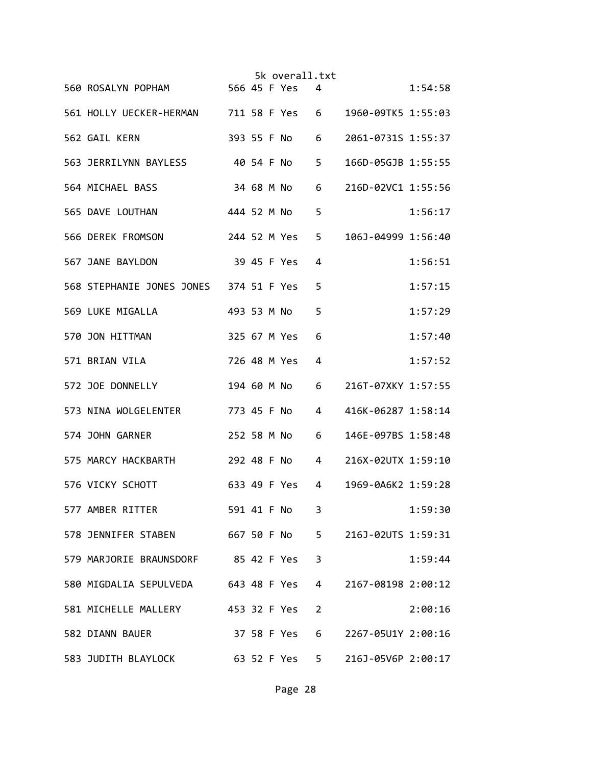|  |                                        |              |            | 5k overall.txt |                |                      |         |
|--|----------------------------------------|--------------|------------|----------------|----------------|----------------------|---------|
|  | 560 ROSALYN POPHAM 566 45 F Yes        |              |            |                | 4              |                      | 1:54:58 |
|  | 561 HOLLY UECKER-HERMAN 711 58 F Yes 6 |              |            |                |                | 1960-09TK5 1:55:03   |         |
|  | 562 GAIL KERN                          |              |            | 393 55 F No    | 6              | 2061-0731S 1:55:37   |         |
|  | 563 JERRILYNN BAYLESS 40 54 F No       |              |            |                | 5              | 166D-05GJB 1:55:55   |         |
|  | 564 MICHAEL BASS                       |              | 34 68 M No |                | 6              | 216D-02VC1 1:55:56   |         |
|  | 565 DAVE LOUTHAN                       | 444 52 M No  |            |                | 5              |                      | 1:56:17 |
|  | 566 DEREK FROMSON                      |              |            | 244 52 M Yes   | 5              | 106J-04999 1:56:40   |         |
|  | 567 JANE BAYLDON                       |              |            | 39 45 F Yes    | 4              |                      | 1:56:51 |
|  | 568 STEPHANIE JONES JONES 374 51 F Yes |              |            |                | 5              |                      | 1:57:15 |
|  | 569 LUKE MIGALLA                       | 493 53 M No  |            |                | 5              |                      | 1:57:29 |
|  | 570 JON HITTMAN                        |              |            | 325 67 M Yes   | 6              |                      | 1:57:40 |
|  | 571 BRIAN VILA                         | 726 48 M Yes |            |                | 4              |                      | 1:57:52 |
|  | 572 JOE DONNELLY                       | 194 60 M No  |            |                | 6              | 216T-07XKY 1:57:55   |         |
|  | 573 NINA WOLGELENTER                   | 773 45 F No  |            |                | 4              | 416K-06287 1:58:14   |         |
|  | 574 JOHN GARNER                        | 252 58 M No  |            |                | 6              | 146E-097BS 1:58:48   |         |
|  | 575 MARCY HACKBARTH<br>292 48 F No 4   |              |            |                |                | 216X-02UTX 1:59:10   |         |
|  | 576 VICKY SCHOTT                       |              |            | 633 49 F Yes   | 4              | 1969-0A6K2 1:59:28   |         |
|  | 577 AMBER RITTER                       | 591 41 F No  |            |                | 3              |                      | 1:59:30 |
|  | 578 JENNIFER STABEN 667 50 F No        |              |            |                |                | 5 216J-02UTS 1:59:31 |         |
|  | 579 MARJORIE BRAUNSDORF 85 42 F Yes    |              |            |                | 3              |                      | 1:59:44 |
|  | 580 MIGDALIA SEPULVEDA 643 48 F Yes 4  |              |            |                |                | 2167-08198 2:00:12   |         |
|  | 581 MICHELLE MALLERY                   |              |            | 453 32 F Yes   | $\overline{2}$ |                      | 2:00:16 |
|  | 582 DIANN BAUER                        |              |            | 37 58 F Yes    | 6              | 2267-05U1Y 2:00:16   |         |
|  | 583 JUDITH BLAYLOCK 63 52 F Yes        |              |            |                | $5 -$          | 216J-05V6P 2:00:17   |         |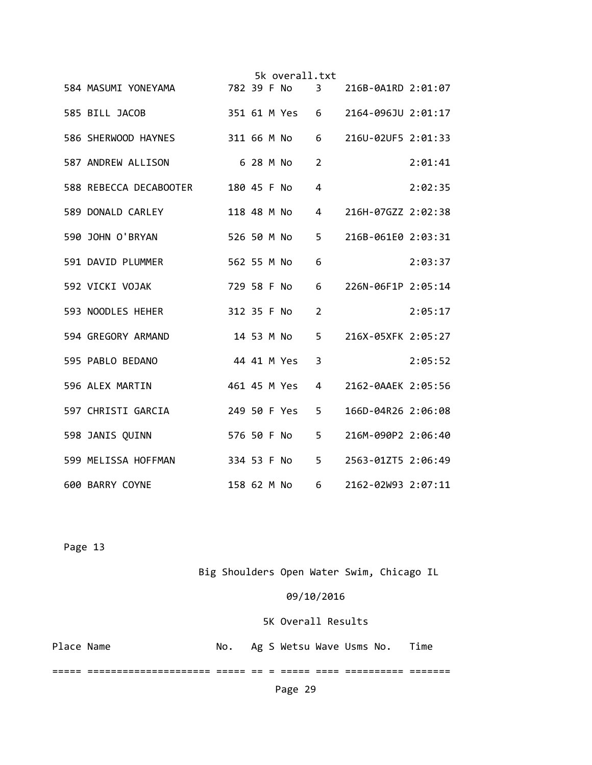|  |                                                      |             |  | 5k overall.txt |                |                                   |         |
|--|------------------------------------------------------|-------------|--|----------------|----------------|-----------------------------------|---------|
|  | 584 MASUMI YONEYAMA 782 39 F No 3 216B-0A1RD 2:01:07 |             |  |                |                |                                   |         |
|  | 585 BILL JACOB                                       |             |  |                |                | 351 61 M Yes 6 2164-096JU 2:01:17 |         |
|  | 586 SHERWOOD HAYNES 311 66 M No                      |             |  |                | 6              | 216U-02UF5 2:01:33                |         |
|  | 587 ANDREW ALLISON 6 28 M No                         |             |  |                | $\overline{2}$ |                                   | 2:01:41 |
|  | 588 REBECCA DECABOOTER 180 45 F No                   |             |  |                | 4              |                                   | 2:02:35 |
|  | 589 DONALD CARLEY                                    |             |  |                | $\overline{4}$ | 216H-07GZZ 2:02:38                |         |
|  | 590 JOHN O'BRYAN                                     | 526 50 M No |  |                | 5              | 216B-061E0 2:03:31                |         |
|  | 591 DAVID PLUMMER                                    | 562 55 M No |  |                | 6              |                                   | 2:03:37 |
|  | 592 VICKI VOJAK                                      | 729 58 F No |  |                | 6              | 226N-06F1P 2:05:14                |         |
|  | 312 35 F No<br>593 NOODLES HEHER                     |             |  |                | 2              |                                   | 2:05:17 |
|  | 594 GREGORY ARMAND                                   |             |  | 14 53 M No     |                | 5 216X-05XFK 2:05:27              |         |
|  | 595 PABLO BEDANO                                     |             |  | 44 41 M Yes    | 3              |                                   | 2:05:52 |
|  | 596 ALEX MARTIN                                      |             |  | 461 45 M Yes   | 4              | 2162-0AAEK 2:05:56                |         |
|  | 597 CHRISTI GARCIA                                   |             |  | 249 50 F Yes   | 5              | 166D-04R26 2:06:08                |         |
|  | 598 JANIS QUINN                                      |             |  | 576 50 F No    | 5              | 216M-090P2 2:06:40                |         |
|  | 334 53 F No<br>599 MELISSA HOFFMAN                   |             |  |                | 5 <sub>1</sub> | 2563-01ZT5 2:06:49                |         |
|  | 600 BARRY COYNE                                      |             |  | 158 62 M No    | $6 \quad$      | 2162-02W93 2:07:11                |         |

Big Shoulders Open Water Swim, Chicago IL

### 09/10/2016

### 5K Overall Results

| Place Name |  | Ag S Wetsu Wave Usms No. Time |  |  |
|------------|--|-------------------------------|--|--|
|            |  |                               |  |  |

===== ===================== ===== == = ===== ==== ========== =======